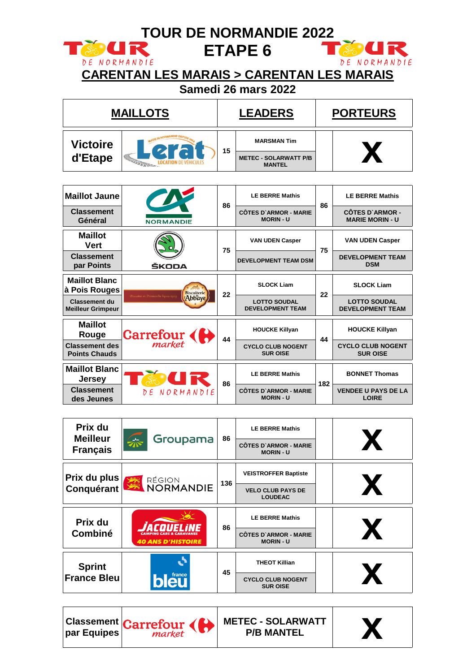|                                                                                           | <b>TOUR DE NORMANDIE 2022</b>                       |    |                                                                            |                 |                                                                            |  |
|-------------------------------------------------------------------------------------------|-----------------------------------------------------|----|----------------------------------------------------------------------------|-----------------|----------------------------------------------------------------------------|--|
| <b>SOUR</b><br>DE NORMANDIE                                                               | <b>CARENTAN LES MARAIS &gt; CARENTAN LES MARAIS</b> |    | <b>ETAPE 6</b><br>Samedi 26 mars 2022                                      |                 | NORMANDIE<br>DE                                                            |  |
|                                                                                           | <b>MAILLOTS</b>                                     |    | <b>LEADERS</b>                                                             | <b>PORTEURS</b> |                                                                            |  |
| <b>Victoire</b><br>d'Etape                                                                |                                                     | 15 | <b>MARSMAN Tim</b><br><b>METEC - SOLARWATT P/B</b><br><b>MANTEL</b>        |                 | X                                                                          |  |
| <b>Maillot Jaune</b><br><b>Classement</b><br>Général                                      | <b>NORMANDIE</b>                                    | 86 | <b>LE BERRE Mathis</b><br><b>CÔTES D'ARMOR - MARIE</b><br><b>MORIN - U</b> | 86              | <b>LE BERRE Mathis</b><br><b>CÔTES D'ARMOR -</b><br><b>MARIE MORIN - U</b> |  |
| <b>Maillot</b><br><b>Vert</b><br><b>Classement</b><br>par Points                          | ŠKODA                                               | 75 | <b>VAN UDEN Casper</b><br><b>DEVELOPMENT TEAM DSM</b>                      | 75              | <b>VAN UDEN Casper</b><br><b>DEVELOPMENT TEAM</b><br><b>DSM</b>            |  |
| <b>Maillot Blanc</b><br>à Pois Rouges<br><b>Classement du</b><br><b>Meilleur Grimpeur</b> | <b>Biscuiterie</b><br><b>Abbaye</b>                 | 22 | <b>SLOCK Liam</b><br><b>LOTTO SOUDAL</b><br><b>DEVELOPMENT TEAM</b>        | 22              | <b>SLOCK Liam</b><br><b>LOTTO SOUDAL</b><br><b>DEVELOPMENT TEAM</b>        |  |
| <b>Maillot</b><br>Rouge<br><b>Classement des</b><br><b>Points Chauds</b>                  | Carrefour (<br>market                               | 44 | <b>HOUCKE Killyan</b><br><b>CYCLO CLUB NOGENT</b><br><b>SUR OISE</b>       | 44              | <b>HOUCKE Killyan</b><br><b>CYCLO CLUB NOGENT</b><br><b>SUR OISE</b>       |  |
| <b>Maillot Blanc</b><br><b>Jersey</b><br><b>Classement</b><br>des Jeunes                  | NORMANDIE                                           | 86 | <b>LE BERRE Mathis</b><br><b>CÔTES D'ARMOR - MARIE</b><br><b>MORIN - U</b> | 182             | <b>BONNET Thomas</b><br><b>VENDEE U PAYS DE LA</b><br><b>LOIRE</b>         |  |

| Prix du                            |                                       | 86  | <b>LE BERRE Mathis</b>                           |   |
|------------------------------------|---------------------------------------|-----|--------------------------------------------------|---|
| <b>Meilleur</b><br><b>Français</b> | Groupama                              |     | <b>CÔTES D'ARMOR - MARIE</b><br><b>MORIN - U</b> |   |
| Prix du plus                       |                                       | 136 | <b>VEISTROFFER Baptiste</b>                      |   |
| Conquérant                         | RÉGION<br>NORMANDIE<br><b>LOUDEAC</b> |     | <b>VELO CLUB PAYS DE</b>                         | X |
| Prix du                            |                                       | 86  | <b>LE BERRE Mathis</b>                           |   |
| <b>Combiné</b>                     | <b>40 ANS D'HISTOIRE</b>              |     | <b>CÔTES D'ARMOR - MARIE</b><br><b>MORIN - U</b> | X |
| <b>Sprint</b>                      |                                       | 45  | <b>THEOT Killian</b>                             |   |
| <b>France Bleu</b>                 | france                                |     | <b>CYCLO CLUB NOGENT</b><br><b>SUR OISE</b>      | X |



**METEC - SOLARWATT**   $\begin{array}{|c|c|} \hline \text{FC - SOLARWATT} & & \text{X} \ \hline \text{P/B MANTEL} & & \end{array}$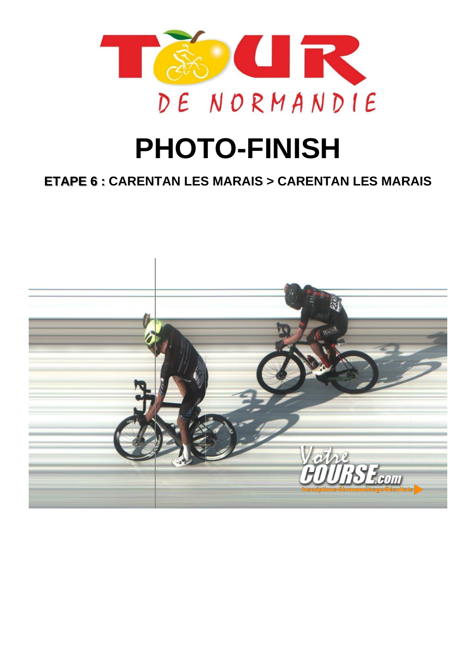

# **PHOTO-FINISH**

## **ETAPE 6 : CARENTAN LES MARAIS > CARENTAN LES MARAIS**

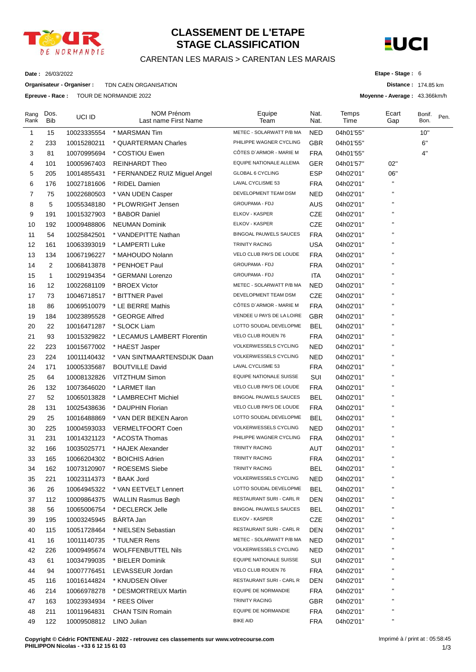

## **CLASSEMENT DE L'ETAPE STAGE CLASSIFICATION**

#### CARENTAN LES MARAIS > CARENTAN LES MARAIS



**Distance :** 174.85 km

**Etape - Stage :** 6

**Moyenne - Average :** 43.366km/h

**Date :** 26/03/2022

**Organisateur - Organiser :** TDN CAEN ORGANISATION

**Epreuve - Race :** TOUR DE NORMANDIE 2022

| Rang<br>Rank | Dos.<br><b>Bib</b> | UCI ID      | NOM Prénom<br>Last name First Name | Equipe<br>Team                 | Nat.<br>Nat. | Temps<br>Time | Ecart<br>Gap           | Bonif.<br>Bon. | Pen. |
|--------------|--------------------|-------------|------------------------------------|--------------------------------|--------------|---------------|------------------------|----------------|------|
| 1            | 15                 | 10023335554 | * MARSMAN Tim                      | METEC - SOLARWATT P/B MA       | NED          | 04h01'55"     |                        | 10"            |      |
| 2            | 233                | 10015280211 | * QUARTERMAN Charles               | PHILIPPE WAGNER CYCLING        | GBR          | 04h01'55"     |                        | 6"             |      |
| 3            | 81                 | 10070995694 | * COSTIOU Ewen                     | CÔTES D'ARMOR - MARIE M        | <b>FRA</b>   | 04h01'55"     |                        | 4"             |      |
| 4            | 101                | 10005967403 | <b>REINHARDT Theo</b>              | EQUIPE NATIONALE ALLEMA        | GER          | 04h01'57"     | 02"                    |                |      |
| 5            | 205                | 10014855431 | * FERNANDEZ RUIZ Miguel Angel      | GLOBAL 6 CYCLING               | <b>ESP</b>   | 04h02'01"     | 06"                    |                |      |
| 6            | 176                | 10027181606 | * RIDEL Damien                     | LAVAL CYCLISME 53              | <b>FRA</b>   | 04h02'01"     | н                      |                |      |
| 7            | 75                 | 10022680503 | * VAN UDEN Casper                  | DEVELOPMENT TEAM DSM           | NED          | 04h02'01"     |                        |                |      |
| 8            | 5                  | 10055348180 | * PLOWRIGHT Jensen                 | GROUPAMA - FDJ                 | <b>AUS</b>   | 04h02'01"     |                        |                |      |
| 9            | 191                | 10015327903 | * BABOR Daniel                     | ELKOV - KASPER                 | <b>CZE</b>   | 04h02'01"     |                        |                |      |
| 10           | 192                | 10009488806 | <b>NEUMAN Dominik</b>              | ELKOV - KASPER                 | <b>CZE</b>   | 04h02'01"     |                        |                |      |
| 11           | 54                 | 10025842501 | * VANDEPITTE Nathan                | <b>BINGOAL PAUWELS SAUCES</b>  | <b>FRA</b>   | 04h02'01"     |                        |                |      |
| 12           | 161                | 10063393019 | * LAMPERTI Luke                    | <b>TRINITY RACING</b>          | <b>USA</b>   | 04h02'01"     |                        |                |      |
| 13           | 134                | 10067196227 | * MAHOUDO Nolann                   | VELO CLUB PAYS DE LOUDE        | <b>FRA</b>   | 04h02'01"     | п                      |                |      |
| 14           | $\overline{2}$     | 10068413878 | * PENHOET Paul                     | <b>GROUPAMA - FDJ</b>          | <b>FRA</b>   | 04h02'01"     |                        |                |      |
| 15           | $\mathbf{1}$       | 10029194354 | * GERMANI Lorenzo                  | <b>GROUPAMA - FDJ</b>          | <b>ITA</b>   | 04h02'01"     |                        |                |      |
| 16           | 12                 | 10022681109 | * BROEX Victor                     | METEC - SOLARWATT P/B MA       | NED          | 04h02'01"     |                        |                |      |
| 17           | 73                 | 10046718517 | * BITTNER Pavel                    | DEVELOPMENT TEAM DSM           | CZE          | 04h02'01"     |                        |                |      |
| 18           | 86                 | 10069510079 | * LE BERRE Mathis                  | CÔTES D'ARMOR - MARIE M        | <b>FRA</b>   | 04h02'01"     |                        |                |      |
| 19           | 184                | 10023895528 | * GEORGE Alfred                    | VENDEE U PAYS DE LA LOIRE      | <b>GBR</b>   | 04h02'01"     |                        |                |      |
| 20           | 22                 | 10016471287 | * SLOCK Liam                       | LOTTO SOUDAL DEVELOPME         | <b>BEL</b>   | 04h02'01"     |                        |                |      |
| 21           | 93                 | 10015329822 | * LECAMUS LAMBERT Florentin        | VELO CLUB ROUEN 76             | <b>FRA</b>   | 04h02'01"     | $\blacksquare$         |                |      |
| 22           | 223                | 10015677002 | * HAEST Jasper                     | <b>VOLKERWESSELS CYCLING</b>   | <b>NED</b>   | 04h02'01"     |                        |                |      |
| 23           | 224                | 10011140432 | * VAN SINTMAARTENSDIJK Daan        | <b>VOLKERWESSELS CYCLING</b>   | NED          | 04h02'01"     |                        |                |      |
| 24           | 171                | 10005335687 | <b>BOUTVILLE David</b>             | LAVAL CYCLISME 53              | <b>FRA</b>   | 04h02'01"     |                        |                |      |
| 25           | 64                 | 10008132826 | VITZTHUM Simon                     | <b>EQUIPE NATIONALE SUISSE</b> | SUI          | 04h02'01"     |                        |                |      |
| 26           | 132                | 10073646020 | * LARMET Ilan                      | VELO CLUB PAYS DE LOUDE        | <b>FRA</b>   | 04h02'01"     |                        |                |      |
| 27           | 52                 | 10065013828 | * LAMBRECHT Michiel                | <b>BINGOAL PAUWELS SAUCES</b>  | BEL          | 04h02'01"     |                        |                |      |
| 28           | 131                | 10025438636 | * DAUPHIN Florian                  | VELO CLUB PAYS DE LOUDE        | <b>FRA</b>   | 04h02'01"     |                        |                |      |
| 29           | 25                 | 10016488869 | * VAN DER BEKEN Aaron              | LOTTO SOUDAL DEVELOPME         | <b>BEL</b>   | 04h02'01"     | п                      |                |      |
| 30           | 225                | 10004593033 | <b>VERMELTFOORT Coen</b>           | VOLKERWESSELS CYCLING          | <b>NED</b>   | 04h02'01"     |                        |                |      |
| 31           | 231                | 10014321123 | * ACOSTA Thomas                    | PHILIPPE WAGNER CYCLING        | <b>FRA</b>   | 04h02'01"     |                        |                |      |
| 32           | 166                | 10035025771 | * HAJEK Alexander                  | TRINITY RACING                 | AUT          | 04h02'01"     |                        |                |      |
| 33           | 165                | 10066204302 | * BOICHIS Adrien                   | <b>TRINITY RACING</b>          | <b>FRA</b>   | 04h02'01"     | п                      |                |      |
| 34           | 162                | 10073120907 | * ROESEMS Siebe                    | TRINITY RACING                 | <b>BEL</b>   | 04h02'01"     | $\pmb{\shortparallel}$ |                |      |
| 35           | 221                | 10023114373 | * BAAK Jord                        | <b>VOLKERWESSELS CYCLING</b>   | <b>NED</b>   | 04h02'01"     | н                      |                |      |
| 36           | 26                 | 10064945322 | * VAN EETVELT Lennert              | LOTTO SOUDAL DEVELOPME         | <b>BEL</b>   | 04h02'01"     |                        |                |      |
| 37           | 112                | 10009864375 | WALLIN Rasmus Bøgh                 | RESTAURANT SURI - CARL R       | <b>DEN</b>   | 04h02'01"     | П                      |                |      |
| 38           | 56                 | 10065006754 | * DECLERCK Jelle                   | <b>BINGOAL PAUWELS SAUCES</b>  | <b>BEL</b>   | 04h02'01"     |                        |                |      |
| 39           | 195                | 10003245945 | BÁRTA Jan                          | ELKOV - KASPER                 | CZE          | 04h02'01"     |                        |                |      |
| 40           | 115                | 10051728464 | * NIELSEN Sebastian                | RESTAURANT SURI - CARL R       | <b>DEN</b>   | 04h02'01"     |                        |                |      |
| 41           | 16                 | 10011140735 | * TULNER Rens                      | METEC - SOLARWATT P/B MA       | <b>NED</b>   | 04h02'01"     |                        |                |      |
| 42           | 226                | 10009495674 | <b>WOLFFENBUTTEL Nils</b>          | <b>VOLKERWESSELS CYCLING</b>   | <b>NED</b>   | 04h02'01"     |                        |                |      |
| 43           | 61                 | 10034799035 | * BIELER Dominik                   | EQUIPE NATIONALE SUISSE        | SUI          | 04h02'01"     |                        |                |      |
| 44           | 94                 | 10007776451 | LEVASSEUR Jordan                   | VELO CLUB ROUEN 76             | <b>FRA</b>   | 04h02'01"     |                        |                |      |
| 45           | 116                | 10016144824 | * KNUDSEN Oliver                   | RESTAURANT SURI - CARL R       | DEN          | 04h02'01"     | П                      |                |      |
| 46           | 214                | 10066978278 | * DESMORTREUX Martin               | EQUIPE DE NORMANDIE            | <b>FRA</b>   | 04h02'01"     | п                      |                |      |
| 47           | 163                | 10023934934 | * REES Oliver                      | TRINITY RACING                 | <b>GBR</b>   | 04h02'01"     |                        |                |      |
| 48           | 211                | 10011964831 | <b>CHAN TSIN Romain</b>            | EQUIPE DE NORMANDIE            | <b>FRA</b>   | 04h02'01"     |                        |                |      |
| 49           | 122                | 10009508812 | LINO Julian                        | <b>BIKE AID</b>                | <b>FRA</b>   | 04h02'01"     |                        |                |      |
|              |                    |             |                                    |                                |              |               |                        |                |      |

**Copyright © Cédric FONTENEAU - 2022 - retrouvez ces classements sur www.votrecourse.com PHILIPPON Nicolas - +33 6 12 15 61 03**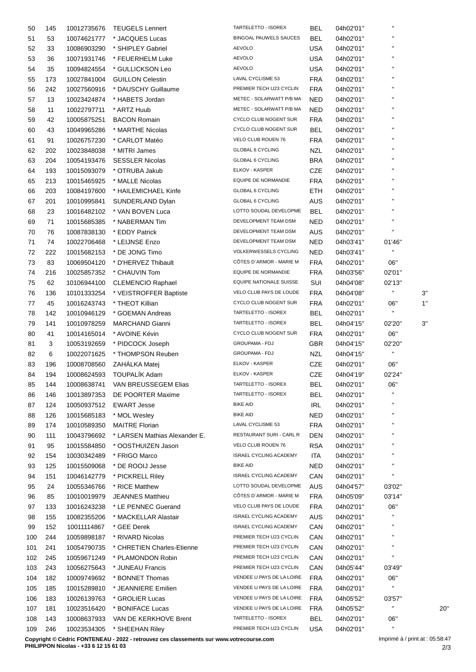| 50  | 145 | 10012735676 | <b>TEUGELS Lennert</b>        | TARTELETTO - ISOREX           | <b>BEL</b> | 04h02'01" | H.     |     |
|-----|-----|-------------|-------------------------------|-------------------------------|------------|-----------|--------|-----|
| 51  | 53  | 10074621777 | * JACQUES Lucas               | <b>BINGOAL PAUWELS SAUCES</b> | <b>BEL</b> | 04h02'01" | п      |     |
| 52  | 33  | 10086903290 | * SHIPLEY Gabriel             | <b>AEVOLO</b>                 | <b>USA</b> | 04h02'01" | п      |     |
| 53  | 36  | 10071931746 | * FEUERHELM Luke              | <b>AEVOLO</b>                 | <b>USA</b> | 04h02'01" | п      |     |
| 54  | 35  | 10094824554 | * GULLICKSON Leo              | <b>AEVOLO</b>                 | <b>USA</b> | 04h02'01" | П      |     |
| 55  | 173 | 10027841004 | <b>GUILLON Celestin</b>       | LAVAL CYCLISME 53             | <b>FRA</b> | 04h02'01" | п      |     |
| 56  | 242 | 10027560916 | * DAUSCHY Guillaume           | PREMIER TECH U23 CYCLIN       | <b>FRA</b> | 04h02'01" | п      |     |
| 57  | 13  | 10023424874 | * HABETS Jordan               | METEC - SOLARWATT P/B MA      | <b>NED</b> | 04h02'01" | п      |     |
| 58  | 11  | 10022797711 | * ARTZ Huub                   | METEC - SOLARWATT P/B MA      | <b>NED</b> | 04h02'01" |        |     |
| 59  | 42  | 10005875251 | <b>BACON Romain</b>           | CYCLO CLUB NOGENT SUR         | <b>FRA</b> | 04h02'01" | п      |     |
| 60  | 43  | 10049965286 | * MARTHE Nicolas              | CYCLO CLUB NOGENT SUR         | <b>BEL</b> | 04h02'01" | п      |     |
| 61  | 91  | 10026757230 | * CARLOT Matéo                | VELO CLUB ROUEN 76            | <b>FRA</b> | 04h02'01" | П      |     |
| 62  | 202 | 10023848038 | * MITRI James                 | GLOBAL 6 CYCLING              | <b>NZL</b> | 04h02'01" | П      |     |
| 63  | 204 | 10054193476 | <b>SESSLER Nicolas</b>        | GLOBAL 6 CYCLING              | <b>BRA</b> | 04h02'01" | п      |     |
|     | 193 | 10015093079 | * OTRUBA Jakub                | ELKOV - KASPER                | CZE        | 04h02'01" | П      |     |
| 64  |     |             | * MALLE Nicolas               | <b>EQUIPE DE NORMANDIE</b>    |            |           | п      |     |
| 65  | 213 | 10015465925 |                               |                               | <b>FRA</b> | 04h02'01" |        |     |
| 66  | 203 | 10084197600 | * HAILEMICHAEL Kinfe          | GLOBAL 6 CYCLING              | ETH        | 04h02'01" | п      |     |
| 67  | 201 | 10010995841 | SUNDERLAND Dylan              | GLOBAL 6 CYCLING              | AUS        | 04h02'01" | п      |     |
| 68  | 23  | 10016482102 | * VAN BOVEN Luca              | LOTTO SOUDAL DEVELOPME        | <b>BEL</b> | 04h02'01" |        |     |
| 69  | 71  | 10015685385 | * NABERMAN Tim                | DEVELOPMENT TEAM DSM          | <b>NED</b> | 04h02'01" | п      |     |
| 70  | 76  | 10087838130 | * EDDY Patrick                | DEVELOPMENT TEAM DSM          | AUS        | 04h02'01" |        |     |
| 71  | 74  | 10022706468 | * LEIJNSE Enzo                | DEVELOPMENT TEAM DSM          | <b>NED</b> | 04h03'41" | 01'46" |     |
| 72  | 222 | 10015682153 | * DE JONG Timo                | <b>VOLKERWESSELS CYCLING</b>  | <b>NED</b> | 04h03'41" | П      |     |
| 73  | 83  | 10069504120 | * D'HERVEZ Thibault           | CÔTES D'ARMOR - MARIE M       | <b>FRA</b> | 04h02'01" | 06"    |     |
| 74  | 216 | 10025857352 | * CHAUVIN Tom                 | EQUIPE DE NORMANDIE           | <b>FRA</b> | 04h03'56" | 02'01" |     |
| 75  | 62  | 10106944100 | <b>CLEMENCIO Raphael</b>      | EQUIPE NATIONALE SUISSE       | SUI        | 04h04'08" | 02'13" |     |
| 76  | 136 | 10101333254 | * VEISTROFFER Baptiste        | VELO CLUB PAYS DE LOUDE       | <b>FRA</b> | 04h04'08" | Ħ      | 3"  |
| 77  | 45  | 10016243743 | * THEOT Killian               | CYCLO CLUB NOGENT SUR         | <b>FRA</b> | 04h02'01" | 06"    | 1"  |
| 78  | 142 | 10010946129 | * GOEMAN Andreas              | TARTELETTO - ISOREX           | <b>BEL</b> | 04h02'01" | H.     |     |
| 79  | 141 | 10010978259 | <b>MARCHAND Gianni</b>        | TARTELETTO - ISOREX           | <b>BEL</b> | 04h04'15" | 02'20" | 3"  |
| 80  | 41  | 10014165014 | * AVOINE Kévin                | CYCLO CLUB NOGENT SUR         | <b>FRA</b> | 04h02'01" | 06"    |     |
| 81  | 3   | 10053192659 | * PIDCOCK Joseph              | GROUPAMA - FDJ                | <b>GBR</b> | 04h04'15" | 02'20" |     |
| 82  | 6   | 10022071625 | * THOMPSON Reuben             | <b>GROUPAMA - FDJ</b>         | <b>NZL</b> | 04h04'15" | H.     |     |
| 83  | 196 | 10008708560 | ZAHÁLKA Matej                 | ELKOV - KASPER                | CZE        | 04h02'01" | 06"    |     |
| 84  | 194 | 10008624593 | TOUPALÍK Adam                 | ELKOV - KASPER                | CZE        | 04h04'19" | 02'24" |     |
| 85  | 144 | 10008638741 | VAN BREUSSEGEM Elias          | TARTELETTO - ISOREX           | <b>BEL</b> | 04h02'01" | 06     |     |
| 86  | 146 | 10013897353 | DE POORTER Maxime             | TARTELETTO - ISOREX           | <b>BEL</b> | 04h02'01" |        |     |
| 87  | 124 | 10050937512 | <b>EWART Jesse</b>            | <b>BIKE AID</b>               | IRL        | 04h02'01" | П      |     |
| 88  | 126 | 10015685183 | * MOL Wesley                  | <b>BIKE AID</b>               | <b>NED</b> | 04h02'01" | П      |     |
| 89  | 174 | 10010589350 | <b>MAITRE Florian</b>         | LAVAL CYCLISME 53             | <b>FRA</b> | 04h02'01" |        |     |
| 90  | 111 | 10043796692 | * LARSEN Mathias Alexander E. | RESTAURANT SURI - CARL R      | DEN        | 04h02'01" | п      |     |
| 91  | 95  | 10015584850 | * OOSTHUIZEN Jason            | VELO CLUB ROUEN 76            | <b>RSA</b> | 04h02'01" | п      |     |
| 92  | 154 | 10030342489 | * FRIGO Marco                 | <b>ISRAEL CYCLING ACADEMY</b> | <b>ITA</b> | 04h02'01" | н      |     |
| 93  | 125 | 10015509068 | * DE ROOIJ Jesse              | <b>BIKE AID</b>               | <b>NED</b> | 04h02'01" | н      |     |
| 94  | 151 | 10046142779 | * PICKRELL Riley              | ISRAEL CYCLING ACADEMY        | CAN        | 04h02'01" |        |     |
| 95  | 24  | 10055346766 | * RICE Matthew                | LOTTO SOUDAL DEVELOPME        | <b>AUS</b> | 04h04'57" | 03'02" |     |
| 96  | 85  | 10010019979 | <b>JEANNES Matthieu</b>       | CÔTES D'ARMOR - MARIE M       | <b>FRA</b> | 04h05'09" | 03'14" |     |
|     |     |             |                               | VELO CLUB PAYS DE LOUDE       | <b>FRA</b> |           | 06"    |     |
| 97  | 133 | 10016243238 | * LE PENNEC Guerand           | ISRAEL CYCLING ACADEMY        |            | 04h02'01" |        |     |
| 98  | 155 | 10082355206 | * MACKELLAR Alastair          | <b>ISRAEL CYCLING ACADEMY</b> | AUS        | 04h02'01" |        |     |
| 99  | 152 | 10011114867 | * GEE Derek                   |                               | CAN        | 04h02'01" | н      |     |
| 100 | 244 | 10059898187 | * RIVARD Nicolas              | PREMIER TECH U23 CYCLIN       | CAN        | 04h02'01" | н      |     |
| 101 | 241 | 10054790735 | * CHRETIEN Charles-Etienne    | PREMIER TECH U23 CYCLIN       | CAN        | 04h02'01" |        |     |
| 102 | 245 | 10059671249 | * PLAMONDON Robin             | PREMIER TECH U23 CYCLIN       | CAN        | 04h02'01" |        |     |
| 103 | 243 | 10056275643 | * JUNEAU Francis              | PREMIER TECH U23 CYCLIN       | CAN        | 04h05'44" | 03'49" |     |
| 104 | 182 | 10009749692 | * BONNET Thomas               | VENDEE U PAYS DE LA LOIRE     | <b>FRA</b> | 04h02'01" | 06"    |     |
| 105 | 185 | 10015289810 | * JEANNIERE Emilien           | VENDEE U PAYS DE LA LOIRE     | <b>FRA</b> | 04h02'01" | H.     |     |
| 106 | 183 | 10026139763 | * GROLIER Lucas               | VENDEE U PAYS DE LA LOIRE     | <b>FRA</b> | 04h05'52" | 03'57" |     |
| 107 | 181 | 10023516420 | * BONIFACE Lucas              | VENDEE U PAYS DE LA LOIRE     | <b>FRA</b> | 04h05'52" | Ħ      | 20' |
| 108 | 143 | 10008637933 | VAN DE KERKHOVE Brent         | TARTELETTO - ISOREX           | <b>BEL</b> | 04h02'01" | 06"    |     |
| 109 | 246 | 10023534305 | * SHEEHAN Riley               | PREMIER TECH U23 CYCLIN       | <b>USA</b> | 04h02'01" | н.     |     |

**Copyright © Cédric FONTENEAU - 2022 - retrouvez ces classements sur www.votrecourse.com**

**PHILIPPON Nicolas - +33 6 12 15 61 03**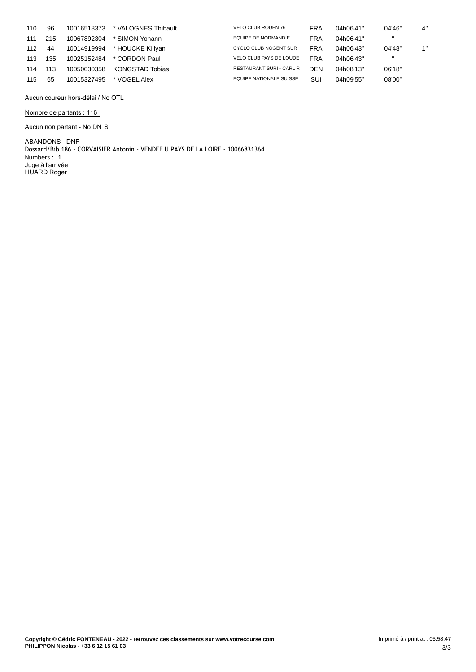| 110 | 96  | 10016518373 | * VALOGNES Thibault    | <b>VELO CLUB ROUEN 76</b>       | FRA        | 04h06'41" | 04'46''      | 4" |
|-----|-----|-------------|------------------------|---------------------------------|------------|-----------|--------------|----|
| 111 | 215 | 10067892304 | * SIMON Yohann         | EQUIPE DE NORMANDIE             | <b>FRA</b> | 04h06'41" | $\mathbf{H}$ |    |
| 112 | 44  | 10014919994 | * HOUCKE Killyan       | CYCLO CLUB NOGENT SUR           | <b>FRA</b> | 04h06'43" | 04'48"       | 1" |
| 113 | 135 | 10025152484 | * CORDON Paul          | VELO CLUB PAYS DE LOUDE         | <b>FRA</b> | 04h06'43" | $\mathbf{H}$ |    |
| 114 | 113 | 10050030358 | <b>KONGSTAD Tobias</b> | <b>RESTAURANT SURI - CARL R</b> | DEN        | 04h08'13" | 06'18"       |    |
| 115 | 65  | 10015327495 | * VOGEL Alex           | EQUIPE NATIONALE SUISSE         | SUI        | 04h09'55" | 08'00"       |    |

**Aucun coureur hors-délai / No OTL**

#### **Nombre de partants : 116**

**Aucun non partant - No DN** S

**ABANDONS - DNF** Dossard/Bib 186 - CORVAISIER Antonin - VENDEE U PAYS DE LA LOIRE - 10066831364 Numbers : 1 **Juge à l'arrivée** HUARD Roger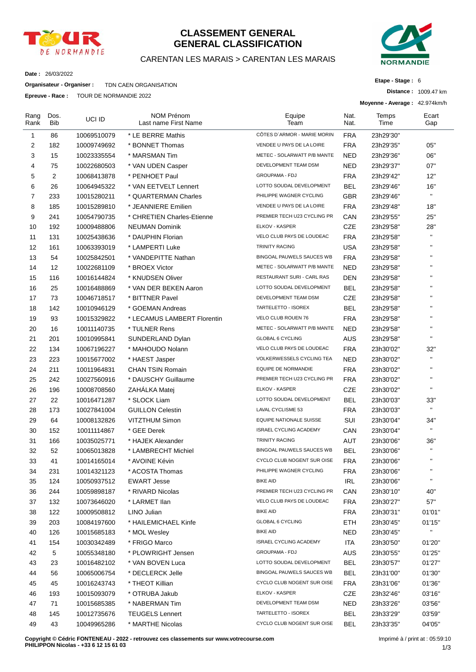

### **CLASSEMENT GENERAL GENERAL CLASSIFICATION**

#### CARENTAN LES MARAIS > CARENTAN LES MARAIS



**Etape - Stage :** 6

**Distance :** 1009.47 km

**Date :** 26/03/2022

**Organisateur - Organiser :** TDN CAEN ORGANISATION

**Epreuve - Race :** TOUR DE NORMANDIE 2022

|                |                    |             |                                           |                                |              | Moyenne - Average: 42.974km/h |                           |
|----------------|--------------------|-------------|-------------------------------------------|--------------------------------|--------------|-------------------------------|---------------------------|
| Rang<br>Rank   | Dos.<br><b>Bib</b> | UCI ID      | <b>NOM Prénom</b><br>Last name First Name | Equipe<br>Team                 | Nat.<br>Nat. | Temps<br>Time                 | Ecart<br>Gap              |
| $\mathbf{1}$   | 86                 | 10069510079 | * LE BERRE Mathis                         | CÔTES D'ARMOR - MARIE MORIN    | <b>FRA</b>   | 23h29'30"                     |                           |
| 2              | 182                | 10009749692 | * BONNET Thomas                           | VENDEE U PAYS DE LA LOIRE      | <b>FRA</b>   | 23h29'35"                     | 05"                       |
| 3              | 15                 | 10023335554 | * MARSMAN Tim                             | METEC - SOLARWATT P/B MANTE    | <b>NED</b>   | 23h29'36"                     | 06"                       |
| 4              | 75                 | 10022680503 | * VAN UDEN Casper                         | DEVELOPMENT TEAM DSM           | <b>NED</b>   | 23h29'37"                     | 07"                       |
| 5              | 2                  | 10068413878 | * PENHOET Paul                            | GROUPAMA - FDJ                 | <b>FRA</b>   | 23h29'42"                     | 12"                       |
| 6              | 26                 | 10064945322 | * VAN EETVELT Lennert                     | LOTTO SOUDAL DEVELOPMENT       | BEL          | 23h29'46"                     | 16"                       |
| $\overline{7}$ | 233                | 10015280211 | * QUARTERMAN Charles                      | PHILIPPE WAGNER CYCLING        | <b>GBR</b>   | 23h29'46"                     | $\mathbf{H}$              |
| 8              | 185                | 10015289810 | * JEANNIERE Emilien                       | VENDEE U PAYS DE LA LOIRE      | <b>FRA</b>   | 23h29'48"                     | 18"                       |
| 9              | 241                | 10054790735 | * CHRETIEN Charles-Etienne                | PREMIER TECH U23 CYCLING PR    | CAN          | 23h29'55"                     | 25"                       |
| 10             | 192                | 10009488806 | <b>NEUMAN Dominik</b>                     | ELKOV - KASPER                 | <b>CZE</b>   | 23h29'58"                     | 28"                       |
| 11             | 131                | 10025438636 | * DAUPHIN Florian                         | VELO CLUB PAYS DE LOUDEAC      | <b>FRA</b>   | 23h29'58"                     | $\mathbf{H}$              |
| 12             | 161                | 10063393019 | * LAMPERTI Luke                           | <b>TRINITY RACING</b>          | <b>USA</b>   | 23h29'58"                     | $\mathbf{H}$              |
| 13             | 54                 | 10025842501 | * VANDEPITTE Nathan                       | BINGOAL PAUWELS SAUCES WB      | <b>FRA</b>   | 23h29'58"                     | H,                        |
| 14             | 12                 | 10022681109 | * BROEX Victor                            | METEC - SOLARWATT P/B MANTE    | <b>NED</b>   | 23h29'58"                     | H.                        |
| 15             | 116                | 10016144824 | * KNUDSEN Oliver                          | RESTAURANT SURI - CARL RAS     | <b>DEN</b>   | 23h29'58"                     | $\mathbf{H}$              |
| 16             | 25                 | 10016488869 | * VAN DER BEKEN Aaron                     | LOTTO SOUDAL DEVELOPMENT       | <b>BEL</b>   | 23h29'58"                     | $\mathbf{H}$              |
| 17             | 73                 | 10046718517 | * BITTNER Pavel                           | DEVELOPMENT TEAM DSM           | <b>CZE</b>   | 23h29'58"                     | H.                        |
| 18             | 142                | 10010946129 | * GOEMAN Andreas                          | TARTELETTO - ISOREX            | <b>BEL</b>   | 23h29'58"                     | H.                        |
| 19             | 93                 | 10015329822 | * LECAMUS LAMBERT Florentin               | VELO CLUB ROUEN 76             | <b>FRA</b>   | 23h29'58"                     | H.                        |
| 20             | 16                 | 10011140735 | * TULNER Rens                             | METEC - SOLARWATT P/B MANTE    | <b>NED</b>   | 23h29'58"                     | $\mathbf{H}$              |
| 21             | 201                | 10010995841 | SUNDERLAND Dylan                          | <b>GLOBAL 6 CYCLING</b>        | AUS          | 23h29'58"                     | $\mathbf{H}$              |
| 22             | 134                | 10067196227 | * MAHOUDO Nolann                          | VELO CLUB PAYS DE LOUDEAC      | <b>FRA</b>   | 23h30'02"                     | 32"                       |
| 23             | 223                | 10015677002 | * HAEST Jasper                            | VOLKERWESSELS CYCLING TEA      | <b>NED</b>   | 23h30'02"                     | $\mathbf{H}$              |
| 24             | 211                | 10011964831 | <b>CHAN TSIN Romain</b>                   | <b>EQUIPE DE NORMANDIE</b>     | <b>FRA</b>   | 23h30'02"                     | $\mathbf{H}$              |
| 25             | 242                | 10027560916 | * DAUSCHY Guillaume                       | PREMIER TECH U23 CYCLING PR    | <b>FRA</b>   | 23h30'02"                     | $\mathbf{H}$              |
| 26             | 196                | 10008708560 | ZAHALKA Matej                             | ELKOV - KASPER                 | <b>CZE</b>   | 23h30'02"                     | $\mathbf{H}$              |
| 27             | 22                 | 10016471287 | * SLOCK Liam                              | LOTTO SOUDAL DEVELOPMENT       | <b>BEL</b>   | 23h30'03"                     | 33"                       |
| 28             | 173                | 10027841004 | <b>GUILLON Celestin</b>                   | LAVAL CYCLISME 53              | <b>FRA</b>   | 23h30'03"                     | $\mathbf{H}$              |
| 29             | 64                 | 10008132826 | <b>VITZTHUM Simon</b>                     | <b>EQUIPE NATIONALE SUISSE</b> | SUI          | 23h30'04"                     | 34"                       |
| 30             | 152                | 10011114867 | * GEE Derek                               | ISRAEL CYCLING ACADEMY         | CAN          | 23h30'04"                     | $\mathbf{H}$              |
| 31             | 166                | 10035025771 | * HAJEK Alexander                         | <b>TRINITY RACING</b>          | AUT          | 23h30'06"                     | 36"                       |
| 32             | 52                 | 10065013828 | * LAMBRECHT Michiel                       | BINGOAL PAUWELS SAUCES WB      | <b>BEL</b>   | 23h30'06"                     | $\mathbf{H}$              |
| 33             | 41                 | 10014165014 | * AVOINE Kévin                            | CYCLO CLUB NOGENT SUR OISE     | FRA          | 23h30'06"                     |                           |
| 34             | 231                | 10014321123 | * ACOSTA Thomas                           | PHILIPPE WAGNER CYCLING        | <b>FRA</b>   | 23h30'06"                     | н.                        |
| 35             | 124                | 10050937512 | <b>EWART Jesse</b>                        | <b>BIKE AID</b>                | <b>IRL</b>   | 23h30'06"                     | $\mathbf{u}$              |
| 36             | 244                | 10059898187 | * RIVARD Nicolas                          | PREMIER TECH U23 CYCLING PR    | CAN          | 23h30'10"                     | 40"                       |
| 37             | 132                | 10073646020 | * LARMET IIan                             | VELO CLUB PAYS DE LOUDEAC      | <b>FRA</b>   | 23h30'27"                     | 57"                       |
| 38             | 122                | 10009508812 | LINO Julian                               | <b>BIKE AID</b>                | <b>FRA</b>   | 23h30'31"                     | 01'01"                    |
| 39             | 203                | 10084197600 | * HAILEMICHAEL Kinfe                      | <b>GLOBAL 6 CYCLING</b>        | <b>ETH</b>   | 23h30'45"                     | 01'15"                    |
| 40             | 126                | 10015685183 | * MOL Wesley                              | <b>BIKE AID</b>                | <b>NED</b>   | 23h30'45"                     | $\mathbf{H}_{\mathrm{c}}$ |
| 41             | 154                | 10030342489 | * FRIGO Marco                             | ISRAEL CYCLING ACADEMY         | ITA          | 23h30'50"                     | 01'20"                    |
| 42             | 5                  | 10055348180 | * PLOWRIGHT Jensen                        | GROUPAMA - FDJ                 | AUS          | 23h30'55"                     | 01'25"                    |
| 43             | 23                 | 10016482102 | * VAN BOVEN Luca                          | LOTTO SOUDAL DEVELOPMENT       | <b>BEL</b>   | 23h30'57"                     | 01'27"                    |
| 44             | 56                 | 10065006754 | * DECLERCK Jelle                          | BINGOAL PAUWELS SAUCES WB      | <b>BEL</b>   | 23h31'00"                     | 01'30"                    |
| 45             | 45                 | 10016243743 | * THEOT Killian                           | CYCLO CLUB NOGENT SUR OISE     | FRA          | 23h31'06"                     | 01'36"                    |
| 46             | 193                | 10015093079 | * OTRUBA Jakub                            | ELKOV - KASPER                 | <b>CZE</b>   | 23h32'46"                     | 03'16"                    |
| 47             | 71                 | 10015685385 | * NABERMAN Tim                            | DEVELOPMENT TEAM DSM           | <b>NED</b>   | 23h33'26"                     | 03'56"                    |
| 48             | 145                | 10012735676 | <b>TEUGELS Lennert</b>                    | TARTELETTO - ISOREX            | <b>BEL</b>   | 23h33'29"                     | 03'59"                    |
| 49             | 43                 | 10049965286 | * MARTHE Nicolas                          | CYCLO CLUB NOGENT SUR OISE     | <b>BEL</b>   | 23h33'35"                     | 04'05"                    |
|                |                    |             |                                           |                                |              |                               |                           |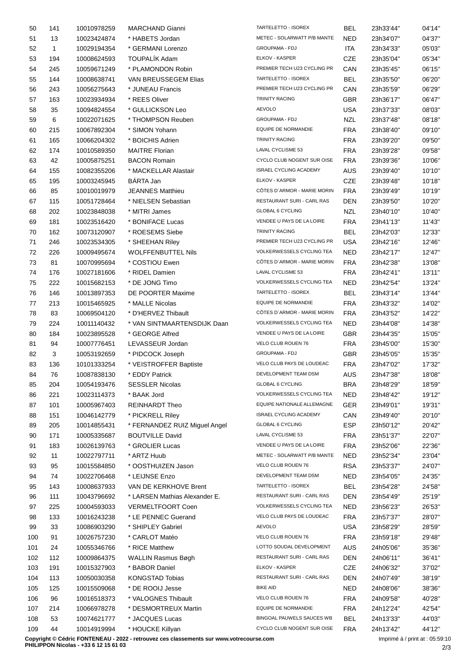| 50  | 141          | 10010978259 | <b>MARCHAND Gianni</b>                                                                  | TARTELETTO - ISOREX           | <b>BEL</b> | 23h33'44" | 04'14"                          |
|-----|--------------|-------------|-----------------------------------------------------------------------------------------|-------------------------------|------------|-----------|---------------------------------|
| 51  | 13           | 10023424874 | * HABETS Jordan                                                                         | METEC - SOLARWATT P/B MANTE   | <b>NED</b> | 23h34'07" | 04'37"                          |
| 52  | $\mathbf{1}$ | 10029194354 | * GERMANI Lorenzo                                                                       | GROUPAMA - FDJ                | ITA        | 23h34'33" | 05'03"                          |
| 53  | 194          | 10008624593 | <b>TOUPALÍK Adam</b>                                                                    | ELKOV - KASPER                | <b>CZE</b> | 23h35'04" | 05'34"                          |
| 54  | 245          | 10059671249 | * PLAMONDON Robin                                                                       | PREMIER TECH U23 CYCLING PR   | CAN        | 23h35'45" | 06'15"                          |
| 55  | 144          | 10008638741 | VAN BREUSSEGEM Elias                                                                    | TARTELETTO - ISOREX           | <b>BEL</b> | 23h35'50" | 06'20"                          |
| 56  | 243          | 10056275643 | * JUNEAU Francis                                                                        | PREMIER TECH U23 CYCLING PR   | CAN        | 23h35'59" | 06'29"                          |
| 57  | 163          | 10023934934 | * REES Oliver                                                                           | <b>TRINITY RACING</b>         | <b>GBR</b> | 23h36'17" | 06'47"                          |
|     |              |             |                                                                                         | <b>AEVOLO</b>                 |            | 23h37'33" |                                 |
| 58  | 35           | 10094824554 | * GULLICKSON Leo                                                                        | <b>GROUPAMA - FDJ</b>         | USA        |           | 08'03"                          |
| 59  | 6            | 10022071625 | * THOMPSON Reuben                                                                       |                               | <b>NZL</b> | 23h37'48" | 08'18"                          |
| 60  | 215          | 10067892304 | * SIMON Yohann                                                                          | EQUIPE DE NORMANDIE           | <b>FRA</b> | 23h38'40" | 09'10"                          |
| 61  | 165          | 10066204302 | * BOICHIS Adrien                                                                        | TRINITY RACING                | <b>FRA</b> | 23h39'20" | 09'50"                          |
| 62  | 174          | 10010589350 | <b>MAITRE Florian</b>                                                                   | LAVAL CYCLISME 53             | <b>FRA</b> | 23h39'28" | 09'58"                          |
| 63  | 42           | 10005875251 | <b>BACON Romain</b>                                                                     | CYCLO CLUB NOGENT SUR OISE    | <b>FRA</b> | 23h39'36" | 10'06"                          |
| 64  | 155          | 10082355206 | * MACKELLAR Alastair                                                                    | ISRAEL CYCLING ACADEMY        | <b>AUS</b> | 23h39'40" | 10'10"                          |
| 65  | 195          | 10003245945 | BÁRTA Jan                                                                               | ELKOV - KASPER                | CZE        | 23h39'48" | 10'18"                          |
| 66  | 85           | 10010019979 | <b>JEANNES Matthieu</b>                                                                 | CÔTES D'ARMOR - MARIE MORIN   | <b>FRA</b> | 23h39'49" | 10'19"                          |
| 67  | 115          | 10051728464 | * NIELSEN Sebastian                                                                     | RESTAURANT SURI - CARL RAS    | DEN        | 23h39'50" | 10'20"                          |
| 68  | 202          | 10023848038 | * MITRI James                                                                           | <b>GLOBAL 6 CYCLING</b>       | NZL        | 23h40'10" | 10'40"                          |
| 69  | 181          | 10023516420 | * BONIFACE Lucas                                                                        | VENDEE U PAYS DE LA LOIRE     | <b>FRA</b> | 23h41'13" | 11'43"                          |
| 70  | 162          | 10073120907 | * ROESEMS Siebe                                                                         | <b>TRINITY RACING</b>         | <b>BEL</b> | 23h42'03" | 12'33"                          |
| 71  | 246          | 10023534305 | * SHEEHAN Riley                                                                         | PREMIER TECH U23 CYCLING PR   | <b>USA</b> | 23h42'16" | 12'46"                          |
| 72  | 226          | 10009495674 | <b>WOLFFENBUTTEL Nils</b>                                                               | VOLKERWESSELS CYCLING TEA     | NED        | 23h42'17" | 12'47"                          |
| 73  | 81           | 10070995694 | * COSTIOU Ewen                                                                          | CÔTES D'ARMOR - MARIE MORIN   | <b>FRA</b> | 23h42'38" | 13'08"                          |
| 74  | 176          | 10027181606 | * RIDEL Damien                                                                          | LAVAL CYCLISME 53             | <b>FRA</b> | 23h42'41" | 13'11"                          |
| 75  | 222          | 10015682153 | * DE JONG Timo                                                                          | VOLKERWESSELS CYCLING TEA     | NED        | 23h42'54" | 13'24"                          |
| 76  | 146          | 10013897353 | DE POORTER Maxime                                                                       | TARTELETTO - ISOREX           | <b>BEL</b> | 23h43'14" | 13'44"                          |
| 77  | 213          | 10015465925 | * MALLE Nicolas                                                                         | EQUIPE DE NORMANDIE           | <b>FRA</b> | 23h43'32" | 14'02"                          |
|     |              |             | * D'HERVEZ Thibault                                                                     | CÔTES D'ARMOR - MARIE MORIN   | <b>FRA</b> |           |                                 |
| 78  | 83           | 10069504120 |                                                                                         | VOLKERWESSELS CYCLING TEA     |            | 23h43'52" | 14'22"                          |
| 79  | 224          | 10011140432 | * VAN SINTMAARTENSDIJK Daan                                                             |                               | NED        | 23h44'08" | 14'38"                          |
| 80  | 184          | 10023895528 | * GEORGE Alfred                                                                         | VENDEE U PAYS DE LA LOIRE     | <b>GBR</b> | 23h44'35" | 15'05"                          |
| 81  | 94           | 10007776451 | LEVASSEUR Jordan                                                                        | VELO CLUB ROUEN 76            | <b>FRA</b> | 23h45'00" | 15'30"                          |
| 82  | 3            | 10053192659 | * PIDCOCK Joseph                                                                        | <b>GROUPAMA - FDJ</b>         | <b>GBR</b> | 23h45'05" | 15'35"                          |
| 83  | 136          | 10101333254 | * VEISTROFFER Baptiste                                                                  | VELO CLUB PAYS DE LOUDEAC     | <b>FRA</b> | 23h47'02" | 17'32"                          |
| 84  | 76           | 10087838130 | * EDDY Patrick                                                                          | DEVELOPMENT TEAM DSM          | AUS        | 23h47'38" | 18'08"                          |
| 85  | 204          | 10054193476 | <b>SESSLER Nicolas</b>                                                                  | GLOBAL 6 CYCLING              | <b>BRA</b> | 23h48'29" | 18'59"                          |
| 86  | 221          | 10023114373 | * BAAK Jord                                                                             | VOLKERWESSELS CYCLING TEA     | <b>NED</b> | 23h48'42" | 19'12"                          |
| 87  | 101          | 10005967403 | <b>REINHARDT Theo</b>                                                                   | EQUIPE NATIONALE ALLEMAGNE    | <b>GER</b> | 23h49'01" | 19'31"                          |
| 88  | 151          | 10046142779 | * PICKRELL Riley                                                                        | <b>ISRAEL CYCLING ACADEMY</b> | CAN        | 23h49'40" | 20'10"                          |
| 89  | 205          | 10014855431 | * FERNANDEZ RUIZ Miguel Angel                                                           | <b>GLOBAL 6 CYCLING</b>       | <b>ESP</b> | 23h50'12" | 20'42"                          |
| 90  | 171          | 10005335687 | <b>BOUTVILLE David</b>                                                                  | LAVAL CYCLISME 53             | <b>FRA</b> | 23h51'37" | 22'07"                          |
| 91  | 183          | 10026139763 | * GROLIER Lucas                                                                         | VENDEE U PAYS DE LA LOIRE     | <b>FRA</b> | 23h52'06" | 22'36"                          |
| 92  | 11           | 10022797711 | * ARTZ Huub                                                                             | METEC - SOLARWATT P/B MANTE   | <b>NED</b> | 23h52'34" | 23'04"                          |
| 93  | 95           | 10015584850 | * OOSTHUIZEN Jason                                                                      | VELO CLUB ROUEN 76            | <b>RSA</b> | 23h53'37" | 24'07"                          |
| 94  | 74           | 10022706468 | * LEIJNSE Enzo                                                                          | DEVELOPMENT TEAM DSM          | <b>NED</b> | 23h54'05" | 24'35"                          |
| 95  | 143          | 10008637933 | VAN DE KERKHOVE Brent                                                                   | TARTELETTO - ISOREX           | <b>BEL</b> | 23h54'28" | 24'58"                          |
| 96  | 111          | 10043796692 | * LARSEN Mathias Alexander E.                                                           | RESTAURANT SURI - CARL RAS    | DEN        | 23h54'49" | 25'19"                          |
| 97  | 225          | 10004593033 | VERMELTFOORT Coen                                                                       | VOLKERWESSELS CYCLING TEA     | <b>NED</b> | 23h56'23" | 26'53"                          |
| 98  | 133          | 10016243238 | * LE PENNEC Guerand                                                                     | VELO CLUB PAYS DE LOUDEAC     | <b>FRA</b> | 23h57'37" | 28'07"                          |
|     |              |             |                                                                                         | <b>AEVOLO</b>                 |            |           |                                 |
| 99  | 33           | 10086903290 | * SHIPLEY Gabriel                                                                       |                               | <b>USA</b> | 23h58'29" | 28'59"                          |
| 100 | 91           | 10026757230 | * CARLOT Matéo                                                                          | VELO CLUB ROUEN 76            | <b>FRA</b> | 23h59'18" | 29'48"                          |
| 101 | 24           | 10055346766 | * RICE Matthew                                                                          | LOTTO SOUDAL DEVELOPMENT      | AUS        | 24h05'06" | 35'36"                          |
| 102 | 112          | 10009864375 | <b>WALLIN Rasmus Bøgh</b>                                                               | RESTAURANT SURI - CARL RAS    | <b>DEN</b> | 24h06'11" | 36'41"                          |
| 103 | 191          | 10015327903 | * BABOR Daniel                                                                          | ELKOV - KASPER                | CZE        | 24h06'32" | 37'02"                          |
| 104 | 113          | 10050030358 | <b>KONGSTAD Tobias</b>                                                                  | RESTAURANT SURI - CARL RAS    | <b>DEN</b> | 24h07'49" | 38'19"                          |
| 105 | 125          | 10015509068 | * DE ROOIJ Jesse                                                                        | <b>BIKE AID</b>               | <b>NED</b> | 24h08'06" | 38'36"                          |
| 106 | 96           | 10016518373 | * VALOGNES Thibault                                                                     | VELO CLUB ROUEN 76            | <b>FRA</b> | 24h09'58" | 40'28"                          |
| 107 | 214          | 10066978278 | * DESMORTREUX Martin                                                                    | EQUIPE DE NORMANDIE           | <b>FRA</b> | 24h12'24" | 42'54"                          |
| 108 | 53           | 10074621777 | * JACQUES Lucas                                                                         | BINGOAL PAUWELS SAUCES WB     | <b>BEL</b> | 24h13'33" | 44'03"                          |
| 109 | 44           | 10014919994 | * HOUCKE Killyan                                                                        | CYCLO CLUB NOGENT SUR OISE    | <b>FRA</b> | 24h13'42" | 44'12"                          |
|     |              |             | Copyright © Cédric FONTENEAU - 2022 - retrouvez ces classements sur www.votrecourse.com |                               |            |           | Imprimé à / print at : 05:59:10 |

**Copyright © Cédric FONTENEAU - 2022 - retrouvez ces classements sur www.votrecourse.com PHILIPPON Nicolas - +33 6 12 15 61 03**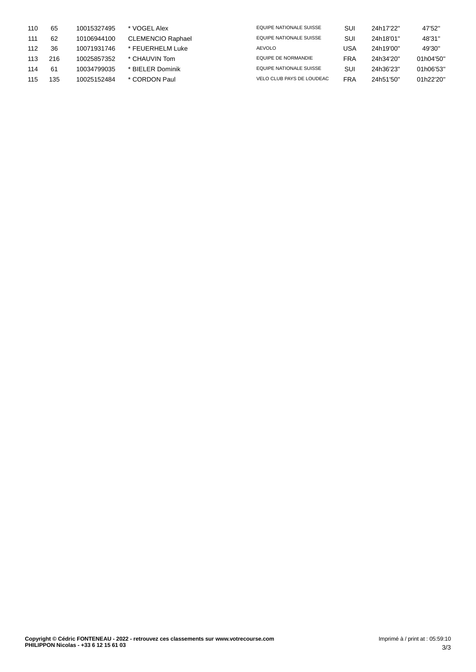| 110 | 65  | 10015327495 | * VOGEL Alex             | EQUIPE NATIONALE SUISSE   | SUI        | 24h17'22" | 47'52"    |
|-----|-----|-------------|--------------------------|---------------------------|------------|-----------|-----------|
| 111 | 62  | 10106944100 | <b>CLEMENCIO Raphael</b> | EQUIPE NATIONALE SUISSE   | SUI        | 24h18'01" | 48'31"    |
| 112 | 36  | 10071931746 | * FEUERHELM Luke         | <b>AEVOLO</b>             | USA        | 24h19'00" | 49'30"    |
| 113 | 216 | 10025857352 | * CHAUVIN Tom            | EQUIPE DE NORMANDIE       | FRA        | 24h34'20" | 01h04'50" |
| 114 | -61 | 10034799035 | * BIELER Dominik         | EQUIPE NATIONALE SUISSE   | SUI        | 24h36'23" | 01h06'53" |
| 115 | 135 | 10025152484 | * CORDON Paul            | VELO CLUB PAYS DE LOUDEAC | <b>FRA</b> | 24h51'50" | 01h22'20" |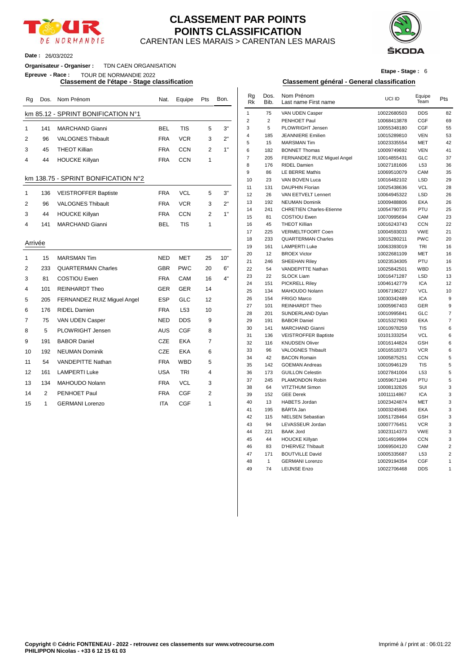

#### CARENTAN LES MARAIS > CARENTAN LES MARAIS **CLASSEMENT PAR POINTS POINTS CLASSIFICATION**



**Date :** 26/03/2022

#### **Organisateur - Organiser :** TDN CAEN ORGANISATION

**Epreuve - Race :** TOUR DE NORMANDIE 2022

| Rg             |                | Dos. Nom Prénom                     | Nat.       | Equipe          | Pts            | Bon. | Rg<br><b>Rk</b> | Dos.<br>Bib.   | Nom Prénom<br>Last name First name                   | UCI ID                     | Equipe<br>Team    | Pts            |
|----------------|----------------|-------------------------------------|------------|-----------------|----------------|------|-----------------|----------------|------------------------------------------------------|----------------------------|-------------------|----------------|
|                |                | km 85.12 - SPRINT BONIFICATION N°1  |            |                 |                |      | $\mathbf{1}$    | 75             | VAN UDEN Casper                                      | 10022680503                | <b>DDS</b>        | 82             |
|                |                |                                     |            |                 |                |      | 2               | $\overline{c}$ | PENHOET Paul                                         | 10068413878                | <b>CGF</b>        | 69             |
| $\mathbf 1$    | 141            | <b>MARCHAND Gianni</b>              | <b>BEL</b> | <b>TIS</b>      | 5              | 3"   | 3               | 5              | PLOWRIGHT Jensen                                     | 10055348180                | CGF               | 55             |
| $\overline{2}$ | 96             | <b>VALOGNES Thibault</b>            | <b>FRA</b> | <b>VCR</b>      | 3              | 2"   | $\overline{4}$  | 185            | <b>JEANNIERE</b> Emilien                             | 10015289810                | <b>VEN</b>        | 53             |
|                |                |                                     |            |                 |                |      | 5               | 15             | <b>MARSMAN Tim</b>                                   | 10023335554                | <b>MET</b>        | 42             |
| 3              | 45             | <b>THEOT Killian</b>                | <b>FRA</b> | <b>CCN</b>      | $\overline{2}$ | 1"   | 6               | 182            | <b>BONNET Thomas</b>                                 | 10009749692                | <b>VEN</b>        | 41             |
| 4              | 44             | <b>HOUCKE Killyan</b>               | <b>FRA</b> | <b>CCN</b>      | 1              |      | $\overline{7}$  | 205            | FERNANDEZ RUIZ Miquel Angel                          | 10014855431                | GLC               | 37             |
|                |                |                                     |            |                 |                |      | 8               | 176            | RIDEL Damien                                         | 10027181606                | L53               | 36             |
|                |                | km 138.75 - SPRINT BONIFICATION N°2 |            |                 |                |      | 9               | 86             | <b>LE BERRE Mathis</b>                               | 10069510079                | CAM               | 35             |
|                |                |                                     |            |                 |                |      | 10              | 23             | VAN BOVEN Luca                                       | 10016482102                | <b>LSD</b>        | 29             |
| 1              | 136            | <b>VEISTROFFER Baptiste</b>         | <b>FRA</b> | <b>VCL</b>      | 5              | 3"   | 11<br>12        | 131            | <b>DAUPHIN Florian</b><br>VAN EETVELT Lennert        | 10025438636                | <b>VCL</b>        | 28             |
|                |                |                                     |            |                 |                |      | 13              | 26<br>192      | <b>NEUMAN Dominik</b>                                | 10064945322<br>10009488806 | <b>LSD</b><br>EKA | 26<br>26       |
| $\overline{2}$ | 96             | <b>VALOGNES Thibault</b>            | <b>FRA</b> | <b>VCR</b>      | 3              | 2"   | 14              | 241            | <b>CHRETIEN Charles-Etienne</b>                      | 10054790735                | PTU               | 25             |
| 3              | 44             | <b>HOUCKE Killyan</b>               | <b>FRA</b> | <b>CCN</b>      | $\overline{2}$ | 1"   | 15              | 81             | <b>COSTIOU Ewen</b>                                  | 10070995694                | CAM               | 23             |
| 4              | 141            | <b>MARCHAND Gianni</b>              | <b>BEL</b> | <b>TIS</b>      | 1              |      | 16              | 45             | <b>THEOT Killian</b>                                 | 10016243743                | <b>CCN</b>        | 22             |
|                |                |                                     |            |                 |                |      | 17              | 225            | VERMELTFOORT Coen                                    | 10004593033                | <b>VWE</b>        | 21             |
|                |                |                                     |            |                 |                |      | 18              | 233            | <b>QUARTERMAN Charles</b>                            | 10015280211                | <b>PWC</b>        | $\overline{2}$ |
| Arrivée        |                |                                     |            |                 |                |      | 19              | 161            | <b>LAMPERTI Luke</b>                                 | 10063393019                | TRI               | 16             |
|                |                |                                     |            |                 |                |      | 20              | 12             | <b>BROEX Victor</b>                                  | 10022681109                | <b>MET</b>        | 16             |
| $\mathbf{1}$   | 15             | <b>MARSMAN Tim</b>                  | <b>NED</b> | <b>MET</b>      | 25             | 10"  | 21              | 246            | SHEEHAN Riley                                        | 10023534305                | PTU               | 16             |
| $\overline{2}$ | 233            | <b>QUARTERMAN Charles</b>           | <b>GBR</b> | <b>PWC</b>      | 20             | 6"   | 22              | 54             | VANDEPITTE Nathan                                    | 10025842501                | <b>WBD</b>        | 15             |
| 3              | 81             | <b>COSTIOU Ewen</b>                 | <b>FRA</b> | CAM             | 16             | 4"   | 23              | 22             | <b>SLOCK Liam</b>                                    | 10016471287                | <b>LSD</b>        | 13             |
|                |                |                                     |            |                 |                |      | 24              | 151            | <b>PICKRELL Riley</b>                                | 10046142779                | <b>ICA</b>        | 12             |
| 4              | 101            | <b>REINHARDT Theo</b>               | GER        | <b>GER</b>      | 14             |      | 25              | 134            | <b>MAHOUDO Nolann</b>                                | 10067196227                | <b>VCL</b>        | 1 <sub>0</sub> |
| 5              | 205            | FERNANDEZ RUIZ Miguel Angel         | <b>ESP</b> | <b>GLC</b>      | 12             |      | 26              | 154            | <b>FRIGO Marco</b>                                   | 10030342489                | <b>ICA</b>        |                |
| 6              | 176            | <b>RIDEL Damien</b>                 | <b>FRA</b> | L <sub>53</sub> | 10             |      | 27              | 101            | <b>REINHARDT Theo</b>                                | 10005967403                | GER               | ç              |
|                |                |                                     |            |                 |                |      | 28              | 201            | SUNDERLAND Dylan                                     | 10010995841                | GLC               |                |
| 7              | 75             | VAN UDEN Casper                     | <b>NED</b> | <b>DDS</b>      | 9              |      | 29<br>30        | 191            | <b>BABOR Daniel</b>                                  | 10015327903                | EKA<br><b>TIS</b> |                |
| 8              | 5              | <b>PLOWRIGHT Jensen</b>             | <b>AUS</b> | <b>CGF</b>      | 8              |      | 31              | 141<br>136     | <b>MARCHAND Gianni</b>                               | 10010978259<br>10101333254 | <b>VCL</b>        |                |
| 9              | 191            | <b>BABOR Daniel</b>                 | <b>CZE</b> | <b>EKA</b>      | $\overline{7}$ |      | 32              | 116            | <b>VEISTROFFER Baptiste</b><br><b>KNUDSEN Oliver</b> | 10016144824                | <b>GSH</b>        |                |
| 10             | 192            | <b>NEUMAN Dominik</b>               | CZE        | <b>EKA</b>      | 6              |      | 33              | 96             | <b>VALOGNES Thibault</b>                             | 10016518373                | <b>VCR</b>        |                |
|                |                |                                     |            |                 |                |      | 34              | 42             | <b>BACON Romain</b>                                  | 10005875251                | <b>CCN</b>        |                |
| 11             | 54             | <b>VANDEPITTE Nathan</b>            | <b>FRA</b> | <b>WBD</b>      | 5              |      | 35              | 142            | <b>GOEMAN Andreas</b>                                | 10010946129                | <b>TIS</b>        |                |
| 12             | 161            | <b>LAMPERTI Luke</b>                | USA        | <b>TRI</b>      | 4              |      | 36              | 173            | <b>GUILLON Celestin</b>                              | 10027841004                | L53               |                |
| 13             | 134            | MAHOUDO Nolann                      | <b>FRA</b> | <b>VCL</b>      | 3              |      | 37              | 245            | PLAMONDON Robin                                      | 10059671249                | PTU               |                |
|                |                |                                     |            |                 |                |      | 38              | 64             | VITZTHUM Simon                                       | 10008132826                | SUI               |                |
| 14             | $\overline{2}$ | PENHOET Paul                        | <b>FRA</b> | <b>CGF</b>      | $\overline{2}$ |      | 39              | 152            | <b>GEE Derek</b>                                     | 10011114867                | <b>ICA</b>        |                |
| 15             | 1              | <b>GERMANI Lorenzo</b>              | <b>ITA</b> | <b>CGF</b>      | 1              |      | 40              | 13             | <b>HABETS Jordan</b>                                 | 10023424874                | <b>MET</b>        | Ś              |

## **Etape - Stage :** 6

#### **Classement de l'étape - Stage classification Classement général - General classification**

| Nat.       | Equipe          | Pts            | Bon. | Rg<br>Rk       | Dos.<br>Bib.   | Nom Prénom<br>Last name First name          | UCI ID                     | Equipe<br>Team    | Pts            |
|------------|-----------------|----------------|------|----------------|----------------|---------------------------------------------|----------------------------|-------------------|----------------|
|            |                 |                |      | $\mathbf{1}$   | 75             | VAN UDEN Casper                             | 10022680503                | <b>DDS</b>        | 82             |
|            |                 |                |      | $\overline{2}$ | $\overline{c}$ | PENHOET Paul                                | 10068413878                | <b>CGF</b>        | 69             |
| BEL        | <b>TIS</b>      | 5              | 3"   | 3              | 5              | PLOWRIGHT Jensen                            | 10055348180                | <b>CGF</b>        | 55             |
|            | <b>VCR</b>      | 3              | 2"   | 4              | 185            | <b>JEANNIERE Emilien</b>                    | 10015289810                | <b>VEN</b>        | 53             |
| FRA        |                 |                |      | 5              | 15             | <b>MARSMAN Tim</b>                          | 10023335554                | <b>MET</b>        | 42             |
| FRA        | <b>CCN</b>      | $\overline{2}$ | 1"   | 6              | 182            | <b>BONNET Thomas</b>                        | 10009749692                | <b>VEN</b>        | 41             |
| FRA        | <b>CCN</b>      | $\mathbf{1}$   |      | $\overline{7}$ | 205            | FERNANDEZ RUIZ Miguel Angel                 | 10014855431                | GLC               | 37             |
|            |                 |                |      | 8              | 176            | <b>RIDEL Damien</b>                         | 10027181606                | L <sub>53</sub>   | 36             |
|            |                 |                |      | 9              | 86             | <b>LE BERRE Mathis</b>                      | 10069510079                | CAM               | 35             |
|            |                 |                |      | 10             | 23             | VAN BOVEN Luca                              | 10016482102                | <b>LSD</b>        | 29             |
|            |                 |                |      | 11             | 131            | <b>DAUPHIN Florian</b>                      | 10025438636                | <b>VCL</b>        | 28             |
| FRA        | <b>VCL</b>      | 5              | 3"   | 12             | 26             | VAN EETVELT Lennert                         | 10064945322                | <b>LSD</b>        | 26             |
| FRA        | <b>VCR</b>      | 3              | 2"   | 13             | 192            | <b>NEUMAN Dominik</b>                       | 10009488806                | EKA               | 26             |
| FRA        | <b>CCN</b>      | $\overline{2}$ | 1"   | 14             | 241            | <b>CHRETIEN Charles-Etienne</b>             | 10054790735                | PTU               | 25             |
|            |                 |                |      | 15             | 81             | <b>COSTIOU Ewen</b>                         | 10070995694                | CAM               | 23             |
| BEL        | <b>TIS</b>      | $\mathbf{1}$   |      | 16             | 45             | <b>THEOT Killian</b>                        | 10016243743                | <b>CCN</b>        | 22             |
|            |                 |                |      | 17             | 225            | <b>VERMELTFOORT Coen</b>                    | 10004593033                | <b>VWE</b>        | 21             |
|            |                 |                |      | 18             | 233            | <b>QUARTERMAN Charles</b>                   | 10015280211                | <b>PWC</b>        | 20             |
|            |                 |                |      | 19             | 161            | <b>LAMPERTI Luke</b>                        | 10063393019                | TRI               | 16             |
| NED        | MET             | 25             | 10"  | 20             | 12             | <b>BROEX Victor</b>                         | 10022681109                | <b>MET</b>        | 16             |
|            |                 |                |      | 21             | 246            | SHEEHAN Riley                               | 10023534305                | PTU               | 16             |
| GBR        | <b>PWC</b>      | 20             | 6"   | 22             | 54             | VANDEPITTE Nathan                           | 10025842501                | <b>WBD</b>        | 15             |
| FRA        | CAM             | 16             | 4"   | 23             | 22             | <b>SLOCK Liam</b>                           | 10016471287                | <b>LSD</b>        | 13             |
|            |                 | 14             |      | 24             | 151            | <b>PICKRELL Riley</b>                       | 10046142779                | ICA               | 12             |
| GER        | <b>GER</b>      |                |      | 25             | 134            | MAHOUDO Nolann                              | 10067196227                | <b>VCL</b>        | 10             |
| ESP        | GLC             | 12             |      | 26             | 154            | <b>FRIGO Marco</b>                          | 10030342489                | <b>ICA</b>        | 9              |
| FRA        | L <sub>53</sub> | 10             |      | 27             | 101            | <b>REINHARDT Theo</b>                       | 10005967403                | GER               | 9              |
|            |                 |                |      | 28             | 201            | SUNDERLAND Dylan                            | 10010995841                | GLC               | $\overline{7}$ |
| NED        | <b>DDS</b>      | 9              |      | 29             | 191            | <b>BABOR Daniel</b>                         | 10015327903                | EKA               | $\overline{7}$ |
| AUS        | <b>CGF</b>      | 8              |      | 30             | 141            | MARCHAND Gianni                             | 10010978259                | <b>TIS</b>        | 6              |
| CZE        | <b>EKA</b>      | 7              |      | 31             | 136            | <b>VEISTROFFER Baptiste</b>                 | 10101333254                | <b>VCL</b>        | 6              |
|            |                 |                |      | 32             | 116            | <b>KNUDSEN Oliver</b>                       | 10016144824                | <b>GSH</b>        | 6              |
| CZE        | <b>EKA</b>      | 6              |      | 33             | 96             | <b>VALOGNES Thibault</b>                    | 10016518373                | <b>VCR</b>        | 6              |
| <b>FRA</b> | <b>WBD</b>      | 5              |      | 34             | 42             | <b>BACON Romain</b>                         | 10005875251                | <b>CCN</b>        | 5              |
|            |                 |                |      | 35             | 142            | <b>GOEMAN Andreas</b>                       | 10010946129                | <b>TIS</b>        | 5              |
| USA        | <b>TRI</b>      | 4              |      | 36             | 173            | <b>GUILLON Celestin</b>                     | 10027841004                | L <sub>53</sub>   | 5              |
| FRA        | <b>VCL</b>      | 3              |      | 37             | 245            | PLAMONDON Robin                             | 10059671249                | PTU               | 5              |
| FRA        | <b>CGF</b>      | 2              |      | 38             | 64             | VITZTHUM Simon                              | 10008132826                | SUI               | 3              |
|            |                 |                |      | 39             | 152            | <b>GEE Derek</b>                            | 10011114867                | ICA               | 3              |
| ITA        | <b>CGF</b>      | $\mathbf{1}$   |      | 40             | 13             | <b>HABETS Jordan</b>                        | 10023424874                | <b>MET</b>        | 3              |
|            |                 |                |      | 41<br>42       | 195<br>115     | BÁRTA Jan<br>NIELSEN Sebastian              | 10003245945                | EKA<br><b>GSH</b> | 3<br>3         |
|            |                 |                |      | 43             | 94             | LEVASSEUR Jordan                            | 10051728464<br>10007776451 | <b>VCR</b>        | 3              |
|            |                 |                |      | 44             |                |                                             |                            | <b>VWE</b>        | 3              |
|            |                 |                |      | 45             | 221<br>44      | <b>BAAK Jord</b>                            | 10023114373<br>10014919994 | <b>CCN</b>        | 3              |
|            |                 |                |      | 46             | 83             | <b>HOUCKE Killyan</b>                       |                            | CAM               | $\overline{c}$ |
|            |                 |                |      | 47             | 171            | D'HERVEZ Thibault<br><b>BOUTVILLE David</b> | 10069504120<br>10005335687 | L53               | $\overline{2}$ |
|            |                 |                |      | 48             | $\mathbf{1}$   | <b>GERMANI Lorenzo</b>                      | 10029194354                | <b>CGF</b>        | $\mathbf{1}$   |
|            |                 |                |      | 49             | 74             | <b>LEIJNSE Enzo</b>                         | 10022706468                | <b>DDS</b>        | $\mathbf{1}$   |
|            |                 |                |      |                |                |                                             |                            |                   |                |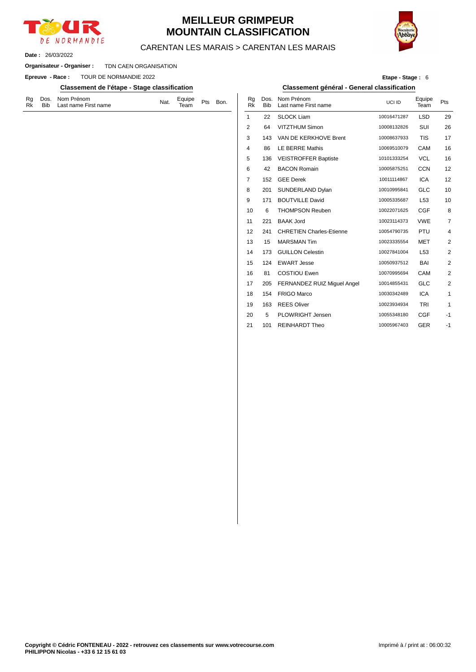

## **MEILLEUR GRIMPEUR MOUNTAIN CLASSIFICATION**



#### CARENTAN LES MARAIS > CARENTAN LES MARAIS

26/03/2022 **Date :**

#### TDN CAEN ORGANISATION **Organisateur - Organiser :**

**Epreuve - Race : TOUR DE NORMANDIE 2022** 

#### **Classement de l'étape - Stage classification Classement général - General classification**

| Rg Dos. Nom Prénom<br>Equipe $P$ ts<br>Bon.<br>Nat.<br>Team<br>Bib Last name First name<br>Rk |  |
|-----------------------------------------------------------------------------------------------|--|
|-----------------------------------------------------------------------------------------------|--|

| Etape - Stage: 6 |
|------------------|
|------------------|

| Bon. | Rg<br><b>Rk</b> | Dos.<br><b>Bib</b> | Nom Prénom<br>Last name First name | UCI ID      | Equipe<br>Team  | Pts            |
|------|-----------------|--------------------|------------------------------------|-------------|-----------------|----------------|
|      | 1               | 22                 | <b>SLOCK Liam</b>                  | 10016471287 | <b>LSD</b>      | 29             |
|      | $\overline{2}$  | 64                 | <b>VITZTHUM Simon</b>              | 10008132826 | SUI             | 26             |
|      | 3               | 143                | VAN DE KERKHOVE Brent              | 10008637933 | <b>TIS</b>      | 17             |
|      | 4               | 86                 | <b>LE BERRE Mathis</b>             | 10069510079 | <b>CAM</b>      | 16             |
|      | 5               | 136                | <b>VEISTROFFER Baptiste</b>        | 10101333254 | <b>VCL</b>      | 16             |
|      | 6               | 42                 | <b>BACON Romain</b>                | 10005875251 | <b>CCN</b>      | 12             |
|      | 7               | 152                | <b>GEE Derek</b>                   | 10011114867 | <b>ICA</b>      | 12             |
|      | 8               | 201                | SUNDERLAND Dylan                   | 10010995841 | <b>GLC</b>      | 10             |
|      | 9               | 171                | <b>BOUTVILLE David</b>             | 10005335687 | L <sub>53</sub> | 10             |
|      | 10              | 6                  | <b>THOMPSON Reuben</b>             | 10022071625 | <b>CGF</b>      | 8              |
|      | 11              | 221                | <b>BAAK Jord</b>                   | 10023114373 | <b>VWE</b>      | $\overline{7}$ |
|      | 12              | 241                | <b>CHRETIEN Charles-Etienne</b>    | 10054790735 | PTU             | $\overline{4}$ |
|      | 13              | 15                 | <b>MARSMAN Tim</b>                 | 10023335554 | <b>MET</b>      | 2              |
|      | 14              | 173                | <b>GUILLON Celestin</b>            | 10027841004 | L <sub>53</sub> | $\overline{2}$ |
|      | 15              | 124                | <b>EWART Jesse</b>                 | 10050937512 | <b>BAI</b>      | 2              |
|      | 16              | 81                 | <b>COSTIOU Ewen</b>                | 10070995694 | CAM             | $\overline{2}$ |
|      | 17              | 205                | FERNANDEZ RUIZ Miquel Angel        | 10014855431 | <b>GLC</b>      | 2              |
|      | 18              | 154                | <b>FRIGO Marco</b>                 | 10030342489 | <b>ICA</b>      | $\mathbf{1}$   |
|      | 19              | 163                | <b>REES Oliver</b>                 | 10023934934 | <b>TRI</b>      | $\mathbf{1}$   |
|      | 20              | 5                  | PLOWRIGHT Jensen                   | 10055348180 | <b>CGF</b>      | $-1$           |
|      | 21              | 101                | <b>REINHARDT Theo</b>              | 10005967403 | <b>GER</b>      | $-1$           |
|      |                 |                    |                                    |             |                 |                |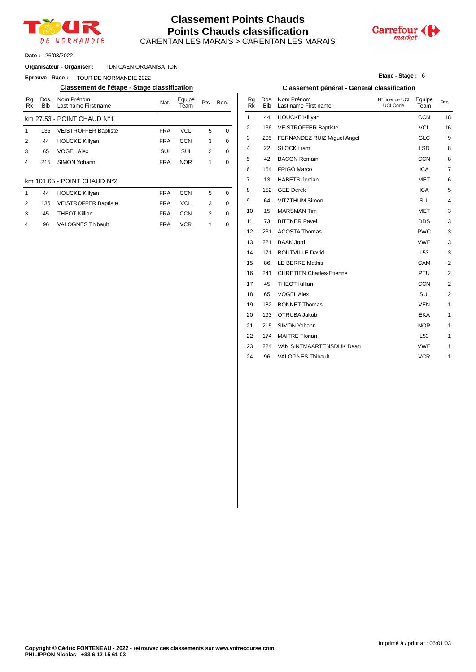

#### CARENTAN LES MARAIS > CARENTAN LES MARAIS **Classement Points Chauds Points Chauds classification**



26/03/2022 **Date :**

#### TDN CAEN ORGANISATION **Organisateur - Organiser :**

**Epreuve - Race : TOUR DE NORMANDIE 2022** 

#### **Classement de l'étape - Stage classification Classement général - General classification**

| Rq<br>Rk                | Dos.<br><b>Bib</b> | Nom Prénom<br>Last name First name    | Nat.       | Equipe<br>Team | Pts | Bon.        | Rq<br>Rk       | Dos.<br><b>Bib</b> | Nom Prénom<br>Last name First |
|-------------------------|--------------------|---------------------------------------|------------|----------------|-----|-------------|----------------|--------------------|-------------------------------|
|                         |                    | $km$ 27.53 - POINT CHAUD $N^{\circ}1$ |            |                |     |             | 1              | 44                 | <b>HOUCKE Killya</b>          |
| 1                       | 136                | <b>VEISTROFFER Baptiste</b>           | <b>FRA</b> | <b>VCL</b>     | 5   | 0           | $\overline{2}$ | 136                | <b>VEISTROFFER</b>            |
| 2                       | 44                 | <b>HOUCKE Killyan</b>                 | <b>FRA</b> | <b>CCN</b>     | 3   | 0           | 3              | 205                | <b>FERNANDEZ R</b>            |
| 3                       | 65                 | <b>VOGEL Alex</b>                     | SUI        | SUI            | 2   | 0           | 4              | 22                 | <b>SLOCK Liam</b>             |
| 4                       | 215                | SIMON Yohann                          | <b>FRA</b> | <b>NOR</b>     | 1   | 0           | 5              | 42                 | <b>BACON Romair</b>           |
|                         |                    |                                       |            |                |     |             | 6              | 154                | FRIGO Marco                   |
|                         |                    | km 101.65 - POINT CHAUD N°2           |            |                |     |             | 7              | 13                 | <b>HABETS Jorda</b>           |
| 1                       | 44                 | <b>HOUCKE Killyan</b>                 | <b>FRA</b> | <b>CCN</b>     | 5   | $\mathbf 0$ | 8              | 152                | <b>GEE Derek</b>              |
| 2                       | 136                | <b>VEISTROFFER Baptiste</b>           | <b>FRA</b> | <b>VCL</b>     | 3   | 0           | 9              | 64                 | <b>VITZTHUM Sim</b>           |
| 3                       | 45                 | <b>THEOT Killian</b>                  | <b>FRA</b> | <b>CCN</b>     | 2   | 0           | 10             | 15                 | <b>MARSMAN Tim</b>            |
| $\overline{\mathbf{4}}$ | 96                 | <b>VALOGNES Thibault</b>              | <b>FRA</b> | <b>VCR</b>     |     | 0           | 11             | 73                 | <b>BITTNER Pave</b>           |

|  |  | <b>Etape - Stage: 6</b> |  |  |
|--|--|-------------------------|--|--|
|--|--|-------------------------|--|--|

| Nom Prénom<br>Last name First name | Nat.       | Equipe<br>Team | Pts          | Bon.        | Rg<br><b>Rk</b> | Dos.<br><b>Bib</b> | Nom Prénom<br>Last name First name | N° licence UCI<br><b>UCI Code</b> | Equipe<br>Team  | Pts                     |
|------------------------------------|------------|----------------|--------------|-------------|-----------------|--------------------|------------------------------------|-----------------------------------|-----------------|-------------------------|
| POINT CHAUD N°1                    |            |                |              |             | 1               | 44                 | <b>HOUCKE Killyan</b>              |                                   | <b>CCN</b>      | 18                      |
| <b>VEISTROFFER Baptiste</b>        | <b>FRA</b> | <b>VCL</b>     | 5            | 0           | 2               | 136                | <b>VEISTROFFER Baptiste</b>        |                                   | <b>VCL</b>      | 16                      |
| <b>HOUCKE Killyan</b>              | <b>FRA</b> | <b>CCN</b>     | 3            | 0           | 3               | 205                | FERNANDEZ RUIZ Miguel Angel        |                                   | <b>GLC</b>      | 9                       |
| <b>VOGEL Alex</b>                  | SUI        | SUI            | 2            | 0           | 4               | 22                 | <b>SLOCK Liam</b>                  |                                   | <b>LSD</b>      | 8                       |
| <b>SIMON Yohann</b>                | <b>FRA</b> | <b>NOR</b>     | $\mathbf{1}$ | 0           | 5               | 42                 | <b>BACON Romain</b>                |                                   | <b>CCN</b>      | 8                       |
|                                    |            |                |              |             | 6               | 154                | <b>FRIGO Marco</b>                 |                                   | <b>ICA</b>      | 7                       |
| - POINT CHAUD N°2                  |            |                |              |             | 7               | 13                 | <b>HABETS Jordan</b>               |                                   | <b>MET</b>      | 6                       |
| <b>HOUCKE Killyan</b>              | <b>FRA</b> | <b>CCN</b>     | 5            | 0           | 8               | 152                | <b>GEE Derek</b>                   |                                   | <b>ICA</b>      | 5                       |
| <b>VEISTROFFER Baptiste</b>        | <b>FRA</b> | <b>VCL</b>     | 3            | 0           | 9               | 64                 | VITZTHUM Simon                     |                                   | SUI             | 4                       |
| <b>THEOT Killian</b>               | <b>FRA</b> | <b>CCN</b>     | 2            | 0           | 10              | 15                 | <b>MARSMAN Tim</b>                 |                                   | <b>MET</b>      | 3                       |
| <b>VALOGNES Thibault</b>           | <b>FRA</b> | <b>VCR</b>     | $\mathbf{1}$ | $\mathbf 0$ | 11              | 73                 | <b>BITTNER Pavel</b>               |                                   | <b>DDS</b>      | 3                       |
|                                    |            |                |              |             | 12              | 231                | <b>ACOSTA Thomas</b>               |                                   | <b>PWC</b>      | 3                       |
|                                    |            |                |              |             | 13              | 221                | <b>BAAK Jord</b>                   |                                   | <b>VWE</b>      | 3                       |
|                                    |            |                |              |             | 14              | 171                | <b>BOUTVILLE David</b>             |                                   | L <sub>53</sub> | 3                       |
|                                    |            |                |              |             | 15              | 86                 | <b>LE BERRE Mathis</b>             |                                   | CAM             | $\overline{\mathbf{c}}$ |
|                                    |            |                |              |             | 16              | 241                | <b>CHRETIEN Charles-Etienne</b>    |                                   | PTU             | $\overline{\mathbf{c}}$ |
|                                    |            |                |              |             | 17              | 45                 | <b>THEOT Killian</b>               |                                   | <b>CCN</b>      | $\overline{2}$          |
|                                    |            |                |              |             | 18              | 65                 | <b>VOGEL Alex</b>                  |                                   | SUI             | $\overline{\mathbf{c}}$ |
|                                    |            |                |              |             | 19              | 182                | <b>BONNET Thomas</b>               |                                   | <b>VEN</b>      | 1                       |
|                                    |            |                |              |             | 20              | 193                | OTRUBA Jakub                       |                                   | EKA             | 1                       |
|                                    |            |                |              |             | 21              | 215                | SIMON Yohann                       |                                   | <b>NOR</b>      | 1                       |
|                                    |            |                |              |             | 22              | 174                | <b>MAITRE Florian</b>              |                                   | L <sub>53</sub> | 1                       |
|                                    |            |                |              |             | 23              | 224                | VAN SINTMAARTENSDIJK Daan          |                                   | <b>VWE</b>      | 1                       |
|                                    |            |                |              |             | 24              | 96                 | <b>VALOGNES Thibault</b>           |                                   | <b>VCR</b>      | 1                       |
|                                    |            |                |              |             |                 |                    |                                    |                                   |                 |                         |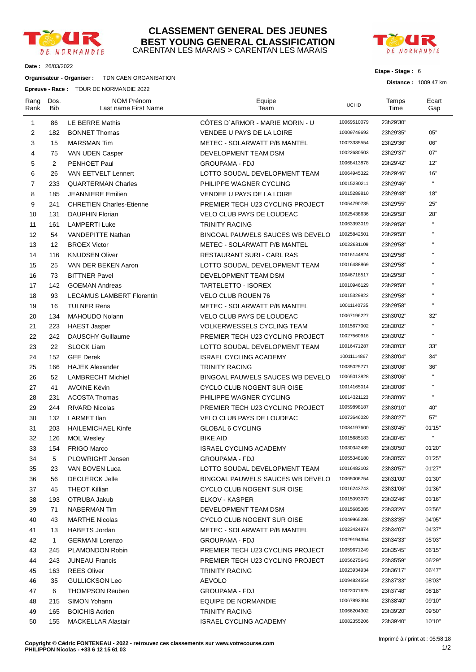

#### CARENTAN LES MARAIS > CARENTAN LES MARAIS **CLASSEMENT GENERAL DES JEUNES BEST YOUNG GENERAL CLASSIFICATION**



#### **Etape - Stage :** 6

**Distance :** 1009.47 km

**Date :** 26/03/2022

#### **Organisateur - Organiser :** TDN CAEN ORGANISATION

**Epreuve - Race :** TOUR DE NORMANDIE 2022

| Rang<br>Rank   | Dos.<br>Bib  | NOM Prénom<br>Last name First Name | Equipe<br>Team                    | UCI ID      | Temps<br>Time | Ecart<br>Gap       |
|----------------|--------------|------------------------------------|-----------------------------------|-------------|---------------|--------------------|
| 1              | 86           | LE BERRE Mathis                    | CÔTES D'ARMOR - MARIE MORIN - U   | 10069510079 | 23h29'30"     |                    |
| 2              | 182          | <b>BONNET Thomas</b>               | VENDEE U PAYS DE LA LOIRE         | 10009749692 | 23h29'35"     | 05"                |
| 3              | 15           | <b>MARSMAN Tim</b>                 | METEC - SOLARWATT P/B MANTEL      | 10023335554 | 23h29'36"     | 06"                |
| 4              | 75           | VAN UDEN Casper                    | DEVELOPMENT TEAM DSM              | 10022680503 | 23h29'37"     | 07"                |
| 5              | 2            | PENHOET Paul                       | <b>GROUPAMA - FDJ</b>             | 10068413878 | 23h29'42"     | 12"                |
| 6              | 26           | <b>VAN EETVELT Lennert</b>         | LOTTO SOUDAL DEVELOPMENT TEAM     | 10064945322 | 23h29'46"     | 16"                |
| $\overline{7}$ | 233          | <b>QUARTERMAN Charles</b>          | PHILIPPE WAGNER CYCLING           | 10015280211 | 23h29'46"     | $\mathbf{H}$       |
| 8              | 185          | <b>JEANNIERE Emilien</b>           | VENDEE U PAYS DE LA LOIRE         | 10015289810 | 23h29'48"     | 18"                |
| 9              | 241          | <b>CHRETIEN Charles-Etienne</b>    | PREMIER TECH U23 CYCLING PROJECT  | 10054790735 | 23h29'55"     | 25"                |
| 10             | 131          | <b>DAUPHIN Florian</b>             | <b>VELO CLUB PAYS DE LOUDEAC</b>  | 10025438636 | 23h29'58"     | 28"                |
| 11             | 161          | <b>LAMPERTI Luke</b>               | <b>TRINITY RACING</b>             | 10063393019 | 23h29'58"     | $\pmb{\mathsf{H}}$ |
| 12             | 54           | VANDEPITTE Nathan                  | BINGOAL PAUWELS SAUCES WB DEVELO  | 10025842501 | 23h29'58"     | $\pmb{\mathsf{u}}$ |
| 13             | 12           | <b>BROEX Victor</b>                | METEC - SOLARWATT P/B MANTEL      | 10022681109 | 23h29'58"     | $\pmb{\mathsf{u}}$ |
| 14             | 116          | <b>KNUDSEN Oliver</b>              | RESTAURANT SURI - CARL RAS        | 10016144824 | 23h29'58"     | $\mathbf{H}$       |
| 15             | 25           | VAN DER BEKEN Aaron                | LOTTO SOUDAL DEVELOPMENT TEAM     | 10016488869 | 23h29'58"     | $\pmb{\mathsf{u}}$ |
| 16             | 73           | <b>BITTNER Pavel</b>               | DEVELOPMENT TEAM DSM              | 10046718517 | 23h29'58"     | $\mathbf{H}$       |
| 17             | 142          | <b>GOEMAN Andreas</b>              | TARTELETTO - ISOREX               | 10010946129 | 23h29'58"     | $\pmb{\mathsf{u}}$ |
| 18             | 93           | <b>LECAMUS LAMBERT Florentin</b>   | <b>VELO CLUB ROUEN 76</b>         | 10015329822 | 23h29'58"     | $\mathbf{H}$       |
| 19             | 16           | <b>TULNER Rens</b>                 | METEC - SOLARWATT P/B MANTEL      | 10011140735 | 23h29'58"     | $\pmb{\mathsf{H}}$ |
| 20             | 134          | MAHOUDO Nolann                     | <b>VELO CLUB PAYS DE LOUDEAC</b>  | 10067196227 | 23h30'02"     | 32"                |
| 21             | 223          | <b>HAEST Jasper</b>                | <b>VOLKERWESSELS CYCLING TEAM</b> | 10015677002 | 23h30'02"     | $\pmb{\mathsf{H}}$ |
| 22             | 242          | <b>DAUSCHY Guillaume</b>           | PREMIER TECH U23 CYCLING PROJECT  | 10027560916 | 23h30'02"     | $\mathbf{H}$       |
| 23             | 22           | <b>SLOCK Liam</b>                  | LOTTO SOUDAL DEVELOPMENT TEAM     | 10016471287 | 23h30'03"     | 33"                |
| 24             | 152          | <b>GEE Derek</b>                   | <b>ISRAEL CYCLING ACADEMY</b>     | 10011114867 | 23h30'04"     | 34"                |
| 25             | 166          | <b>HAJEK Alexander</b>             | <b>TRINITY RACING</b>             | 10035025771 | 23h30'06"     | 36"                |
| 26             | 52           | <b>LAMBRECHT Michiel</b>           | BINGOAL PAUWELS SAUCES WB DEVELO  | 10065013828 | 23h30'06"     | $\mathbf{H}$       |
| 27             | 41           | <b>AVOINE Kévin</b>                | CYCLO CLUB NOGENT SUR OISE        | 10014165014 | 23h30'06"     | $\pmb{\mathsf{u}}$ |
| 28             | 231          | <b>ACOSTA Thomas</b>               | PHILIPPE WAGNER CYCLING           | 10014321123 | 23h30'06"     | $\mathbf{H}$       |
| 29             | 244          | <b>RIVARD Nicolas</b>              | PREMIER TECH U23 CYCLING PROJECT  | 10059898187 | 23h30'10"     | 40"                |
| 30             | 132          | LARMET Ilan                        | VELO CLUB PAYS DE LOUDEAC         | 10073646020 | 23h30'27"     | 57"                |
| 31             | 203          | <b>HAILEMICHAEL Kinfe</b>          | GLOBAL 6 CYCLING                  | 10084197600 | 23h30'45"     | 01'15"             |
| 32             | 126          | <b>MOL Wesley</b>                  | <b>BIKE AID</b>                   | 10015685183 | 23h30'45"     | $\mathbf{H}$       |
| 33             | 154          | <b>FRIGO Marco</b>                 | <b>ISRAEL CYCLING ACADEMY</b>     | 10030342489 | 23h30'50"     | 01'20"             |
| 34             | 5            | PLOWRIGHT Jensen                   | <b>GROUPAMA - FDJ</b>             | 10055348180 | 23h30'55"     | 01'25"             |
| 35             | 23           | VAN BOVEN Luca                     | LOTTO SOUDAL DEVELOPMENT TEAM     | 10016482102 | 23h30'57"     | 01'27"             |
| 36             | 56           | <b>DECLERCK Jelle</b>              | BINGOAL PAUWELS SAUCES WB DEVELO  | 10065006754 | 23h31'00"     | 01'30"             |
| 37             | 45           | <b>THEOT Killian</b>               | CYCLO CLUB NOGENT SUR OISE        | 10016243743 | 23h31'06"     | 01'36"             |
| 38             | 193          | OTRUBA Jakub                       | ELKOV - KASPER                    | 10015093079 | 23h32'46"     | 03'16"             |
| 39             | 71           | NABERMAN Tim                       | DEVELOPMENT TEAM DSM              | 10015685385 | 23h33'26"     | 03'56"             |
| 40             | 43           | <b>MARTHE Nicolas</b>              | CYCLO CLUB NOGENT SUR OISE        | 10049965286 | 23h33'35"     | 04'05"             |
| 41             | 13           | <b>HABETS Jordan</b>               | METEC - SOLARWATT P/B MANTEL      | 10023424874 | 23h34'07"     | 04'37"             |
| 42             | $\mathbf{1}$ | <b>GERMANI Lorenzo</b>             | <b>GROUPAMA - FDJ</b>             | 10029194354 | 23h34'33"     | 05'03"             |
| 43             | 245          | PLAMONDON Robin                    | PREMIER TECH U23 CYCLING PROJECT  | 10059671249 | 23h35'45"     | 06'15"             |
| 44             | 243          | <b>JUNEAU Francis</b>              | PREMIER TECH U23 CYCLING PROJECT  | 10056275643 | 23h35'59"     | 06'29"             |
| 45             | 163          | <b>REES Oliver</b>                 | <b>TRINITY RACING</b>             | 10023934934 | 23h36'17"     | 06'47"             |
| 46             | 35           | <b>GULLICKSON Leo</b>              | <b>AEVOLO</b>                     | 10094824554 | 23h37'33"     | 08'03"             |
| 47             | 6            | <b>THOMPSON Reuben</b>             | <b>GROUPAMA - FDJ</b>             | 10022071625 | 23h37'48"     | 08'18"             |
| 48             | 215          | SIMON Yohann                       | EQUIPE DE NORMANDIE               | 10067892304 | 23h38'40"     | 09'10"             |
| 49             | 165          | <b>BOICHIS Adrien</b>              | <b>TRINITY RACING</b>             | 10066204302 | 23h39'20"     | 09'50"             |
| 50             | 155          | <b>MACKELLAR Alastair</b>          | <b>ISRAEL CYCLING ACADEMY</b>     | 10082355206 | 23h39'40"     | 10'10"             |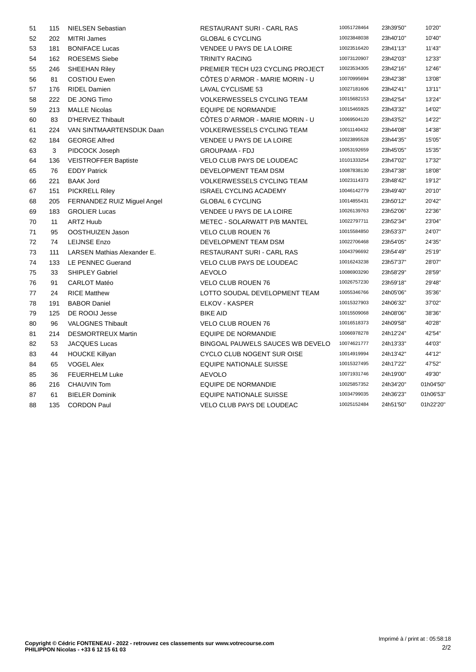| 51 | 115 | <b>NIELSEN Sebastian</b>           | <b>RESTAURANT SURI - CARL RAS</b> | 10051728464 | 23h39'50" | 10'20"    |
|----|-----|------------------------------------|-----------------------------------|-------------|-----------|-----------|
| 52 | 202 | <b>MITRI James</b>                 | <b>GLOBAL 6 CYCLING</b>           | 10023848038 | 23h40'10" | 10'40"    |
| 53 | 181 | <b>BONIFACE Lucas</b>              | VENDEE U PAYS DE LA LOIRE         | 10023516420 | 23h41'13" | 11'43"    |
| 54 | 162 | <b>ROESEMS Siebe</b>               | <b>TRINITY RACING</b>             | 10073120907 | 23h42'03" | 12'33"    |
| 55 | 246 | <b>SHEEHAN Riley</b>               | PREMIER TECH U23 CYCLING PROJECT  | 10023534305 | 23h42'16" | 12'46"    |
| 56 | 81  | <b>COSTIOU Ewen</b>                | CÖTES D'ARMOR - MARIE MORIN - U   | 10070995694 | 23h42'38" | 13'08"    |
| 57 | 176 | <b>RIDEL Damien</b>                | LAVAL CYCLISME 53                 | 10027181606 | 23h42'41" | 13'11"    |
| 58 | 222 | DE JONG Timo                       | <b>VOLKERWESSELS CYCLING TEAM</b> | 10015682153 | 23h42'54" | 13'24"    |
| 59 | 213 | <b>MALLE Nicolas</b>               | <b>EQUIPE DE NORMANDIE</b>        | 10015465925 | 23h43'32" | 14'02"    |
| 60 | 83  | D'HERVEZ Thibault                  | CÔTES D'ARMOR - MARIE MORIN - U   | 10069504120 | 23h43'52" | 14'22"    |
| 61 | 224 | VAN SINTMAARTENSDIJK Daan          | <b>VOLKERWESSELS CYCLING TEAM</b> | 10011140432 | 23h44'08" | 14'38"    |
| 62 | 184 | <b>GEORGE Alfred</b>               | VENDEE U PAYS DE LA LOIRE         | 10023895528 | 23h44'35" | 15'05"    |
| 63 | 3   | PIDCOCK Joseph                     | <b>GROUPAMA - FDJ</b>             | 10053192659 | 23h45'05" | 15'35"    |
| 64 | 136 | <b>VEISTROFFER Baptiste</b>        | VELO CLUB PAYS DE LOUDEAC         | 10101333254 | 23h47'02" | 17'32"    |
| 65 | 76  | <b>EDDY Patrick</b>                | DEVELOPMENT TEAM DSM              | 10087838130 | 23h47'38" | 18'08"    |
| 66 | 221 | <b>BAAK Jord</b>                   | <b>VOLKERWESSELS CYCLING TEAM</b> | 10023114373 | 23h48'42" | 19'12"    |
| 67 | 151 | <b>PICKRELL Riley</b>              | <b>ISRAEL CYCLING ACADEMY</b>     | 10046142779 | 23h49'40" | 20'10"    |
| 68 | 205 | FERNANDEZ RUIZ Miguel Angel        | <b>GLOBAL 6 CYCLING</b>           | 10014855431 | 23h50'12" | 20'42"    |
| 69 | 183 | <b>GROLIER Lucas</b>               | VENDEE U PAYS DE LA LOIRE         | 10026139763 | 23h52'06" | 22'36"    |
| 70 | 11  | <b>ARTZ Huub</b>                   | METEC - SOLARWATT P/B MANTEL      | 10022797711 | 23h52'34" | 23'04"    |
| 71 | 95  | OOSTHUIZEN Jason                   | <b>VELO CLUB ROUEN 76</b>         | 10015584850 | 23h53'37" | 24'07"    |
| 72 | 74  | <b>LEIJNSE Enzo</b>                | DEVELOPMENT TEAM DSM              | 10022706468 | 23h54'05" | 24'35"    |
| 73 | 111 | <b>LARSEN Mathias Alexander E.</b> | <b>RESTAURANT SURI - CARL RAS</b> | 10043796692 | 23h54'49" | 25'19"    |
| 74 | 133 | <b>LE PENNEC Guerand</b>           | <b>VELO CLUB PAYS DE LOUDEAC</b>  | 10016243238 | 23h57'37" | 28'07"    |
| 75 | 33  | <b>SHIPLEY Gabriel</b>             | <b>AEVOLO</b>                     | 10086903290 | 23h58'29" | 28'59"    |
| 76 | 91  | <b>CARLOT Matéo</b>                | <b>VELO CLUB ROUEN 76</b>         | 10026757230 | 23h59'18" | 29'48"    |
| 77 | 24  | <b>RICE Matthew</b>                | LOTTO SOUDAL DEVELOPMENT TEAM     | 10055346766 | 24h05'06" | 35'36"    |
| 78 | 191 | <b>BABOR Daniel</b>                | ELKOV - KASPER                    | 10015327903 | 24h06'32" | 37'02"    |
| 79 | 125 | DE ROOIJ Jesse                     | <b>BIKE AID</b>                   | 10015509068 | 24h08'06" | 38'36"    |
| 80 | 96  | <b>VALOGNES Thibault</b>           | <b>VELO CLUB ROUEN 76</b>         | 10016518373 | 24h09'58" | 40'28"    |
| 81 | 214 | <b>DESMORTREUX Martin</b>          | <b>EQUIPE DE NORMANDIE</b>        | 10066978278 | 24h12'24" | 42'54"    |
| 82 | 53  | <b>JACQUES Lucas</b>               | BINGOAL PAUWELS SAUCES WB DEVELO  | 10074621777 | 24h13'33" | 44'03"    |
| 83 | 44  | <b>HOUCKE Killyan</b>              | CYCLO CLUB NOGENT SUR OISE        | 10014919994 | 24h13'42" | 44'12"    |
| 84 | 65  | <b>VOGEL Alex</b>                  | <b>EQUIPE NATIONALE SUISSE</b>    | 10015327495 | 24h17'22" | 47'52"    |
| 85 | 36  | <b>FEUERHELM Luke</b>              | <b>AEVOLO</b>                     | 10071931746 | 24h19'00" | 49'30"    |
| 86 | 216 | <b>CHAUVIN Tom</b>                 | <b>EQUIPE DE NORMANDIE</b>        | 10025857352 | 24h34'20" | 01h04'50' |
| 87 | 61  | <b>BIELER Dominik</b>              | <b>EQUIPE NATIONALE SUISSE</b>    | 10034799035 | 24h36'23" | 01h06'53' |
| 88 | 135 | <b>CORDON Paul</b>                 | <b>VELO CLUB PAYS DE LOUDEAC</b>  | 10025152484 | 24h51'50" | 01h22'20' |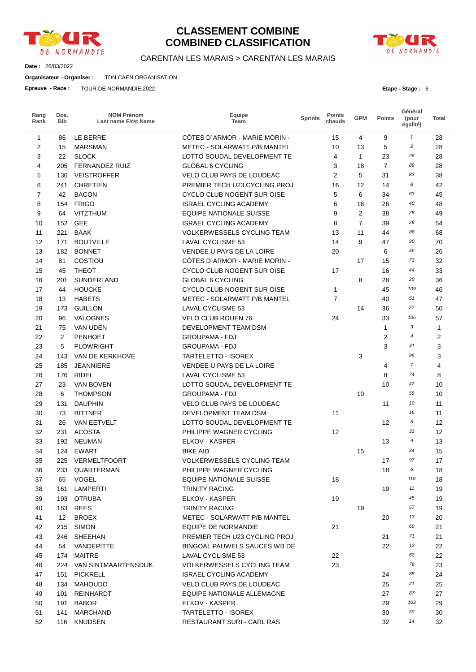

## **CLASSEMENT COMBINE COMBINED CLASSIFICATION**



**Date :** 26/03/2022

**Organisateur - Organiser :** TDN CAEN ORGANISATION

**Epreuve - Race :** TOUR DE NORMANDIE 2022

| DE NORMANDIE |
|--------------|

**Etape - Stage :** 6

| Rang<br>Rank   | Dos.<br><b>Bib</b> | <b>NOM Prénom</b><br><b>Last name First Name</b> | Equipe<br>Team                    | <b>Sprints</b> | <b>Points</b><br>chauds | <b>GPM</b>     | <b>Points</b>  | Général<br>(pour<br>égalité) | Total |
|----------------|--------------------|--------------------------------------------------|-----------------------------------|----------------|-------------------------|----------------|----------------|------------------------------|-------|
| 1              | 86                 | LE BERRE                                         | CÔTES D'ARMOR - MARIE MORIN -     |                | 15                      | 4              | 9              | $\mathbf{1}$                 | 28    |
| 2              | 15                 | <b>MARSMAN</b>                                   | METEC - SOLARWATT P/B MANTEL      |                | 10                      | 13             | 5              | $\overline{c}$               | 28    |
| 3              | 22                 | <b>SLOCK</b>                                     | LOTTO SOUDAL DEVELOPMENT TE       |                | 4                       | $\mathbf{1}$   | 23             | 26                           | 28    |
| 4              | 205                | <b>FERNANDEZ RUIZ</b>                            | <b>GLOBAL 6 CYCLING</b>           |                | 3                       | 18             | $\overline{7}$ | 89                           | 28    |
| 5              | 136                | <b>VEISTROFFER</b>                               | VELO CLUB PAYS DE LOUDEAC         |                | $\overline{2}$          | 5              | 31             | 83                           | 38    |
| 6              | 241                | <b>CHRETIEN</b>                                  | PREMIER TECH U23 CYCLING PROJ     |                | 16                      | 12             | 14             | 8                            | 42    |
| $\overline{7}$ | 42                 | <b>BACON</b>                                     | <b>CYCLO CLUB NOGENT SUR OISE</b> |                | 5                       | 6              | 34             | 63                           | 45    |
| 8              | 154                | <b>FRIGO</b>                                     | <b>ISRAEL CYCLING ACADEMY</b>     |                | 6                       | 16             | 26             | 40                           | 48    |
| 9              | 64                 | <b>VITZTHUM</b>                                  | <b>EQUIPE NATIONALE SUISSE</b>    |                | 9                       | 2              | 38             | 28                           | 49    |
| 10             | 152                | <b>GEE</b>                                       | <b>ISRAEL CYCLING ACADEMY</b>     |                | 8                       | $\overline{7}$ | 39             | 29                           | 54    |
| 11             | 221                | <b>BAAK</b>                                      | <b>VOLKERWESSELS CYCLING TEAM</b> |                | 13                      | 11             | 44             | 86                           | 68    |
| 12             | 171                | <b>BOUTVILLE</b>                                 | <b>LAVAL CYCLISME 53</b>          |                | 14                      | 9              | 47             | 90                           | 70    |
| 13             | 182                | <b>BONNET</b>                                    | VENDEE U PAYS DE LA LOIRE         |                | 20                      |                | 6              | 46                           | 26    |
| 14             | 81                 | COSTIOU                                          | CÔTES D'ARMOR - MARIE MORIN -     |                |                         | 17             | 15             | 73                           | 32    |
| 15             | 45                 | <b>THEOT</b>                                     | CYCLO CLUB NOGENT SUR OISE        |                | 17                      |                | 16             | 44                           | 33    |
| 16             | 201                | SUNDERLAND                                       | <b>GLOBAL 6 CYCLING</b>           |                |                         | 8              | 28             | 20                           | 36    |
| 17             | 44                 | <b>HOUCKE</b>                                    | <b>CYCLO CLUB NOGENT SUR OISE</b> |                | 1                       |                | 45             | 109                          | 46    |
| 18             | 13                 | <b>HABETS</b>                                    | METEC - SOLARWATT P/B MANTEL      |                | $\overline{7}$          |                | 40             | 51                           | 47    |
| 19             | 173                | <b>GUILLON</b>                                   | LAVAL CYCLISME 53                 |                |                         | 14             | 36             | 27                           | 50    |
| 20             | 96                 | VALOGNES                                         | VELO CLUB ROUEN 76                |                | 24                      |                | 33             | 106                          | 57    |
| 21             | 75                 | <b>VAN UDEN</b>                                  | DEVELOPMENT TEAM DSM              |                |                         |                | $\mathbf{1}$   | 3                            | 1     |
| 22             | 2                  | <b>PENHOET</b>                                   | <b>GROUPAMA - FDJ</b>             |                |                         |                | $\overline{2}$ | $\boldsymbol{4}$             | 2     |
| 23             | 5                  | <b>PLOWRIGHT</b>                                 | <b>GROUPAMA - FDJ</b>             |                |                         |                | 3              | 41                           | 3     |
| 24             | 143                | VAN DE KERKHOVE                                  | TARTELETTO - ISOREX               |                |                         | 3              |                | 95                           | 3     |
| 25             | 185                | <b>JEANNIERE</b>                                 | VENDEE U PAYS DE LA LOIRE         |                |                         |                | 4              | $\overline{7}$               | 4     |
| 26             | 176                | <b>RIDEL</b>                                     | LAVAL CYCLISME 53                 |                |                         |                | 8              | 74                           | 8     |
| 27             | 23                 | VAN BOVEN                                        | LOTTO SOUDAL DEVELOPMENT TE       |                |                         |                | 10             | 42                           | 10    |
| 28             | 6                  | <b>THOMPSON</b>                                  | <b>GROUPAMA - FDJ</b>             |                |                         | 10             |                | 59                           | 10    |
| 29             | 131                | <b>DAUPHIN</b>                                   | VELO CLUB PAYS DE LOUDEAC         |                |                         |                | 11             | 10                           | 11    |
| 30             | 73                 | <b>BITTNER</b>                                   | DEVELOPMENT TEAM DSM              |                | 11                      |                |                | 16                           | 11    |
| 31             | 26                 | <b>VAN EETVELT</b>                               | LOTTO SOUDAL DEVELOPMENT TE       |                |                         |                | 12             | 5                            | 12    |
| 32             | 231                | <b>ACOSTA</b>                                    | PHILIPPE WAGNER CYCLING           |                | 12                      |                |                | 33                           | 12    |
| 33             | 192                | <b>NEUMAN</b>                                    | <b>ELKOV - KASPER</b>             |                |                         |                | 13             | 9                            | 13    |
| 34             | 124                | <b>EWART</b>                                     | <b>BIKE AID</b>                   |                |                         | 15             |                | 34                           | 15    |
| 35             | 225                | <b>VERMELTFOORT</b>                              | <b>VOLKERWESSELS CYCLING TEAM</b> |                |                         |                | 17             | 97                           | 17    |
| 36             |                    | 233 QUARTERMAN                                   | PHILIPPE WAGNER CYCLING           |                |                         |                | 18             | 6                            | 18    |
| 37             | 65                 | <b>VOGEL</b>                                     | <b>EQUIPE NATIONALE SUISSE</b>    |                | 18                      |                |                | 110                          | 18    |
| 38             | 161                | LAMPERTI                                         | <b>TRINITY RACING</b>             |                |                         |                | 19             | 11                           | 19    |
| 39             |                    | 193 OTRUBA                                       | ELKOV - KASPER                    |                | 19                      |                |                | 45                           | 19    |
| 40             |                    | 163 REES                                         | TRINITY RACING                    |                |                         | 19             |                | 57                           | 19    |
| 41             | 12 <sup>°</sup>    | <b>BROEX</b>                                     | METEC - SOLARWATT P/B MANTEL      |                |                         |                | 20             | 13                           | 20    |
| 42             | 215                | <b>SIMON</b>                                     | EQUIPE DE NORMANDIE               |                | 21                      |                |                | 60                           | 21    |
| 43             | 246                | SHEEHAN                                          | PREMIER TECH U23 CYCLING PROJ     |                |                         |                | 21             | 71                           | 21    |
| 44             | 54                 | <b>VANDEPITTE</b>                                | BINGOAL PAUWELS SAUCES WB DE      |                |                         |                | 22             | 12                           | 22    |
| 45             | 174                | MAITRE                                           | <b>LAVAL CYCLISME 53</b>          |                | 22                      |                |                | 62                           | 22    |
| 46             |                    | 224 VAN SINTMAARTENSDIJK                         | <b>VOLKERWESSELS CYCLING TEAM</b> |                | 23                      |                |                | 79                           | 23    |
| 47             | 151                | <b>PICKRELL</b>                                  | ISRAEL CYCLING ACADEMY            |                |                         |                | 24             | 88                           | 24    |
| 48             | 134                | <b>MAHOUDO</b>                                   | VELO CLUB PAYS DE LOUDEAC         |                |                         |                | 25             | 21                           | 25    |
| 49             | 101                | REINHARDT                                        | EQUIPE NATIONALE ALLEMAGNE        |                |                         |                | 27             | 87                           | 27    |
| 50             | 191                | <b>BABOR</b>                                     | ELKOV - KASPER                    |                |                         |                | 29             | 103                          | 29    |
| 51             | 141                | <b>MARCHAND</b>                                  | TARTELETTO - ISOREX               |                |                         |                | 30             | 50                           | 30    |
| 52             | 116                | <b>KNUDSEN</b>                                   | RESTAURANT SURI - CARL RAS        |                |                         |                | 32             | 14                           | 32    |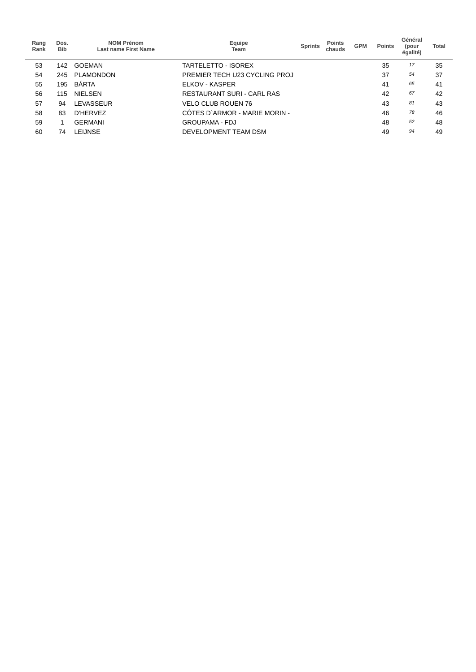| Rang<br>Rank | Dos.<br><b>Bib</b> | <b>NOM Prénom</b><br>Last name First Name | Equipe<br>Team                | <b>Sprints</b> | <b>Points</b><br>chauds | <b>GPM</b> | <b>Points</b> | Général<br>(pour<br>égalité) | <b>Total</b> |
|--------------|--------------------|-------------------------------------------|-------------------------------|----------------|-------------------------|------------|---------------|------------------------------|--------------|
| 53           | 142                | <b>GOEMAN</b>                             | TARTELETTO - ISOREX           |                |                         |            | 35            | 17                           | 35           |
| 54           | 245                | <b>PLAMONDON</b>                          | PREMIER TECH U23 CYCLING PROJ |                |                         |            | 37            | 54                           | 37           |
| 55           | 195                | <b>BARTA</b>                              | ELKOV - KASPER                |                |                         |            | 41            | 65                           | 41           |
| 56           | 115                | <b>NIELSEN</b>                            | RESTAURANT SURI - CARL RAS    |                |                         |            | 42            | 67                           | 42           |
| 57           | 94                 | <b>LEVASSEUR</b>                          | <b>VELO CLUB ROUEN 76</b>     |                |                         |            | 43            | 81                           | 43           |
| 58           | 83                 | D'HERVEZ                                  | CÔTES D'ARMOR - MARIE MORIN - |                |                         |            | 46            | 78                           | 46           |
| 59           |                    | <b>GERMANI</b>                            | <b>GROUPAMA - FDJ</b>         |                |                         |            | 48            | 52                           | 48           |
| 60           | 74                 | <b>LEIJNSE</b>                            | DEVELOPMENT TEAM DSM          |                |                         |            | 49            | 94                           | 49           |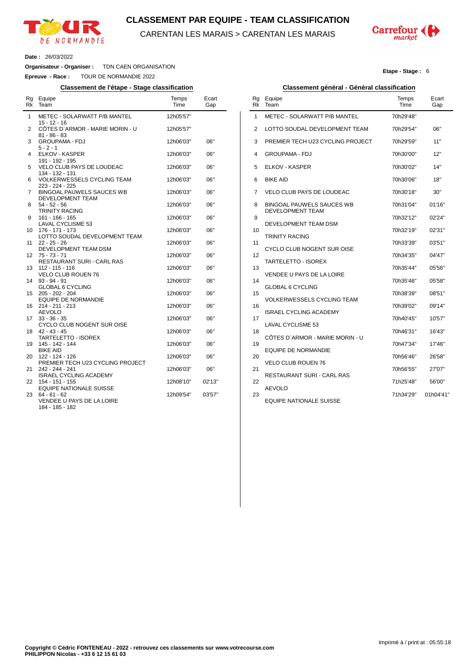

### **CLASSEMENT PAR EQUIPE - TEAM CLASSIFICATION**

CARENTAN LES MARAIS > CARENTAN LES MARAIS



**Etape - Stage :** 6

#### **Date :** 26/03/2022

 $\overline{a}$ 

**Organisateur - Organiser :** TDN CAEN ORGANISATION

**Epreuve - Race :** TOUR DE NORMANDIE 2022

#### **Classement de l'étape - Stage classification Classement général - Général classification**

| Rg<br>Rk | Equipe<br>Team                                                | Temps<br>Time          | Ecart<br>Gap |  |
|----------|---------------------------------------------------------------|------------------------|--------------|--|
| 1        | METEC - SOLARWATT P/B MANTEL<br>15 - 12 - 16                  | 12h05'57"              |              |  |
| 2        | COTES D'ARMOR - MARIE MORIN - U<br>$81 - 86 - 83$             | 12h05'57"              |              |  |
| 3        | <b>GROUPAMA - FDJ</b><br>$5 - 2 - 1$                          | 12h06'03"              | 06"          |  |
| 4        | ELKOV - KASPER<br>191 - 192 - 195                             | 12h06'03"              | 06"          |  |
| 5        | VELO CLUB PAYS DE LOUDEAC<br>134 - 132 - 131                  | 12h06'03"              | 06"          |  |
| 6        | <b>VOLKERWESSELS CYCLING TEAM</b><br>223 - 224 - 225          | 12h06'03"              | 06"          |  |
| 7        | <b>BINGOAL PAUWELS SAUCES WB</b><br>DEVELOPMENT TEAM          | 12h06'03"              | 06"          |  |
| 8        | $54 - 52 - 56$<br><b>TRINITY RACING</b>                       | 12h06'03"              | 06"          |  |
| 9<br>10  | 161 - 166 - 165<br>LAVAL CYCLISME 53<br>176 - 171 - 173       | 12h06'03"<br>12h06'03" | 06"<br>06"   |  |
| 11       | LOTTO SOUDAL DEVELOPMENT TEAM<br>$22 - 25 - 26$               | 12h06'03"              | 06"          |  |
| 12       | DEVELOPMENT TEAM DSM<br>$75 - 73 - 71$                        | 12h06'03"              | 06"          |  |
| 13       | RESTAURANT SURI - CARL RAS<br>$112 - 115 - 116$               | 12h06'03"              | 06"          |  |
| 14       | <b>VELO CLUB ROUEN 76</b><br>$93 - 94 - 91$                   | 12h06'03"              | 06"          |  |
| 15       | <b>GLOBAL 6 CYCLING</b><br>205 - 202 - 204                    | 12h06'03"              | 06"          |  |
| 16       | <b>EQUIPE DE NORMANDIE</b><br>214 - 211 - 213                 | 12h06'03"              | 06"          |  |
| 17       | <b>AEVOLO</b><br>$33 - 36 - 35$<br>CYCLO CLUB NOGENT SUR OISE | 12h06'03"              | 06"          |  |
| 18       | $42 - 43 - 45$<br><b>TARTELETTO - ISOREX</b>                  | 12h06'03"              | 06"          |  |
| 19       | 145 - 142 - 144<br><b>BIKE AID</b>                            | 12h06'03"              | 06"          |  |
| 20       | 122 - 124 - 126<br>PREMIER TECH U23 CYCLING PROJECT           | 12h06'03"              | 06"          |  |
| 21       | 242 - 244 - 241<br><b>ISRAEL CYCLING ACADEMY</b>              | 12h06'03"              | 06"          |  |
| 22       | 154 - 151 - 155<br><b>EQUIPE NATIONALE SUISSE</b>             | 12h08'10"              | 02'13"       |  |
| 23       | 64 - 61 - 62<br>VENDEE U PAYS DE LA LOIRE<br>184 - 185 - 182  | 12h09'54"              | 03'57"       |  |

| Rg<br>Rk | Equipe<br>Team                                       | Temps<br>Time | Ecart<br>Gap |
|----------|------------------------------------------------------|---------------|--------------|
| 1        | METEC - SOLARWATT P/B MANTEL                         | 70h29'48"     |              |
| 2        | LOTTO SOUDAL DEVELOPMENT TEAM                        | 70h29'54"     | 06"          |
| 3        | PREMIER TECH U23 CYCLING PROJECT                     | 70h29'59"     | 11"          |
| 4        | <b>GROUPAMA - FDJ</b>                                | 70h30'00"     | 12"          |
| 5        | <b>ELKOV - KASPER</b>                                | 70h30'02"     | 14"          |
| 6        | <b>BIKE AID</b>                                      | 70h30'06"     | 18"          |
| 7        | VELO CLUB PAYS DE LOUDEAC                            | 70h30'18"     | 30"          |
| 8        | BINGOAL PAUWELS SAUCES WB<br><b>DEVELOPMENT TEAM</b> | 70h31'04"     | 01'16"       |
| 9        | DEVELOPMENT TEAM DSM                                 | 70h32'12"     | 02'24"       |
| 10       |                                                      | 70h32'19"     | 02'31"       |
| 11       | <b>TRINITY RACING</b>                                | 70h33'39"     | 03'51"       |
| 12       | CYCLO CLUB NOGENT SUR OISE                           | 70h34'35"     | 04'47"       |
| 13       | TARTELETTO - ISOREX                                  | 70h35'44"     | 05'56"       |
| 14       | VENDEE U PAYS DE LA LOIRE                            | 70h35'46"     | 05'58"       |
| 15       | <b>GLOBAL 6 CYCLING</b>                              | 70h38'39"     | 08'51"       |
| 16       | <b>VOLKERWESSELS CYCLING TEAM</b>                    | 70h39'02"     | 09'14"       |
| 17       | <b>ISRAEL CYCLING ACADEMY</b>                        | 70h40'45"     | 10'57"       |
| 18       | <b>LAVAL CYCLISME 53</b>                             | 70h46'31"     | 16'43"       |
| 19       | CÔTES D`ARMOR - MARIE MORIN - U                      | 70h47'34"     | 17'46"       |
| 20       | <b>EQUIPE DE NORMANDIE</b>                           | 70h56'46"     | 26'58"       |
| 21       | <b>VELO CLUB ROUEN 76</b>                            | 70h56'55"     | 27'07"       |
| 22       | <b>RESTAURANT SURI - CARL RAS</b>                    | 71h25'48"     | 56'00"       |
| 23       | AEVOLO                                               | 71h34'29"     | 01h04'41"    |
|          | <b>EQUIPE NATIONALE SUISSE</b>                       |               |              |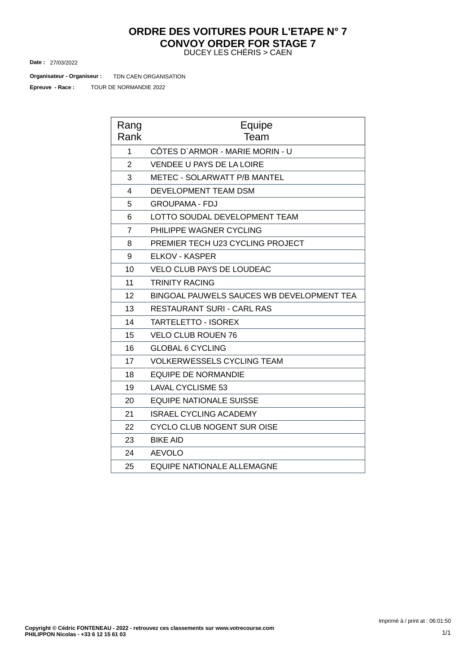#### DUCEY LES CHÉRIS > CAEN **ORDRE DES VOITURES POUR L'ETAPE N° 7 CONVOY ORDER FOR STAGE 7**

27/03/2022 **Date :**

TDN CAEN ORGANISATION **Organisateur - Organiseur :**

TOUR DE NORMANDIE 2022 **Epreuve - Race :**

| Rang<br>Rank   | Equipe<br>Team                            |
|----------------|-------------------------------------------|
| 1              | CÔTES D'ARMOR - MARIE MORIN - U           |
| $\overline{2}$ | <b>VENDEE U PAYS DE LA LOIRE</b>          |
| 3              | METEC - SOLARWATT P/B MANTEL              |
| 4              | <b>DEVELOPMENT TEAM DSM</b>               |
| 5              | <b>GROUPAMA - FDJ</b>                     |
| 6              | LOTTO SOUDAL DEVELOPMENT TEAM             |
| $\overline{7}$ | PHILIPPE WAGNER CYCLING                   |
| 8              | PREMIER TECH U23 CYCLING PROJECT          |
| 9              | ELKOV - KASPER                            |
| 10             | <b>VELO CLUB PAYS DE LOUDEAC</b>          |
| 11             | <b>TRINITY RACING</b>                     |
| 12             | BINGOAL PAUWELS SAUCES WB DEVELOPMENT TEA |
| 13             | RESTAURANT SURI - CARL RAS                |
| 14             | <b>TARTELETTO - ISOREX</b>                |
| 15             | <b>VELO CLUB ROUEN 76</b>                 |
| 16             | <b>GLOBAL 6 CYCLING</b>                   |
| 17             | <b>VOLKERWESSELS CYCLING TEAM</b>         |
| 18             | <b>EQUIPE DE NORMANDIE</b>                |
| 19             | <b>LAVAL CYCLISME 53</b>                  |
| 20             | <b>EQUIPE NATIONALE SUISSE</b>            |
| 21             | <b>ISRAEL CYCLING ACADEMY</b>             |
| 22             | <b>CYCLO CLUB NOGENT SUR OISE</b>         |
| 23             | <b>BIKE AID</b>                           |
| 24             | <b>AEVOLO</b>                             |
| 25             | <b>EQUIPE NATIONALE ALLEMAGNE</b>         |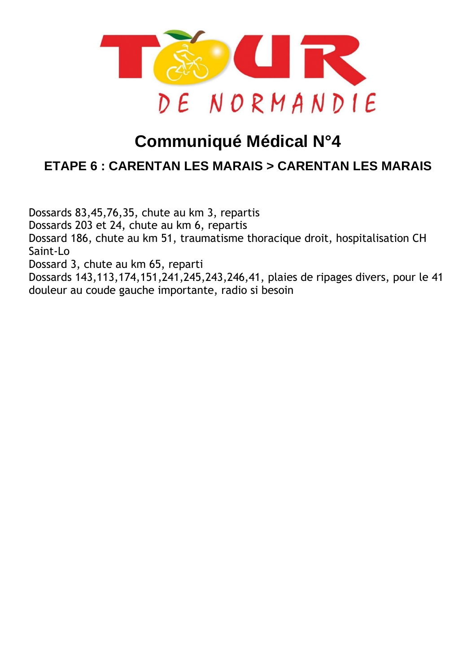

# **Communiqué Médical N°4**

## **ETAPE 6 : CARENTAN LES MARAIS > [CARENTAN](https://www.procyclingstats.com/race/tour-of-turkey/2021/stage-1) LES MARAIS**

Dossards 83,45,76,35, chute au km 3, repartis Dossards 203 et 24, chute au km 6, repartis Dossard 186, chute au km 51, traumatisme thoracique droit, hospitalisation CH Saint-Lo Dossard 3, chute au km 65, reparti Dossards 143,113,174,151,241,245,243,246,41, plaies de ripages divers, pour le 41 douleur au coude gauche importante, radio si besoin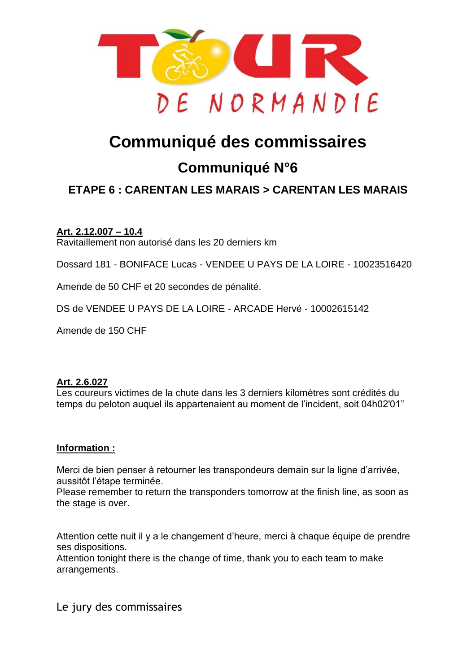

# **Communiqué des commissaires**

## **Communiqué N°6**

## **ETAPE 6 : [CARENTAN](https://www.procyclingstats.com/race/tour-of-turkey/2021/stage-1) LES MARAIS > CARENTAN LES MARAIS**

## **Art. 2.12.007 – 10.4**

Ravitaillement non autorisé dans les 20 derniers km

Dossard 181 - BONIFACE Lucas - VENDEE U PAYS DE LA LOIRE - 10023516420

Amende de 50 CHF et 20 secondes de pénalité.

DS de VENDEE U PAYS DE LA LOIRE - ARCADE Hervé - 10002615142

Amende de 150 CHF

### **Art. 2.6.027**

Les coureurs victimes de la chute dans les 3 derniers kilomètres sont crédités du temps du peloton auquel ils appartenaient au moment de l'incident, soit 04h02'01''

## **Information :**

Merci de bien penser à retourner les transpondeurs demain sur la ligne d'arrivée, aussitôt l'étape terminée.

Please remember to return the transponders tomorrow at the finish line, as soon as the stage is over.

Attention cette nuit il y a le changement d'heure, merci à chaque équipe de prendre ses dispositions.

Attention tonight there is the change of time, thank you to each team to make arrangements.

Le jury des commissaires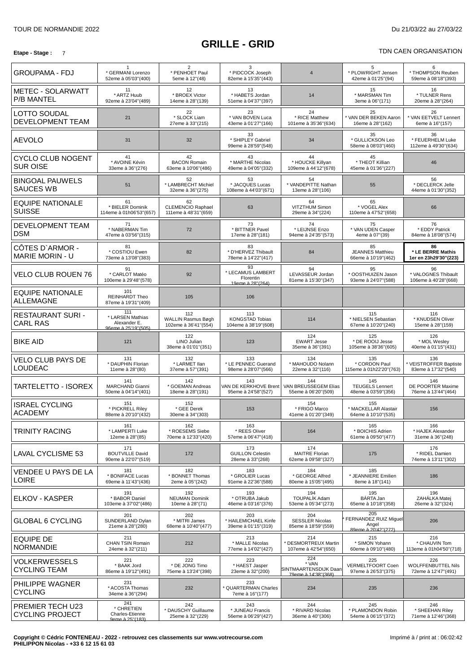#### **GRILLE - GRID Etape** - Stage : 7 TDN CAEN ORGANISATION CONTINUES TO A RESERVE THE STATE ORGANISATION CONTINUES TO A RESERVE TO A RESERVE TO A RESERVE TO A RESERVE TO A RESERVE TO A RESERVE TO A RESERVE TO A RESERVE TO A RESERVE TO A RE

| TDN CAEN ORGANISATION |  |
|-----------------------|--|
|                       |  |

| <b>GROUPAMA - FDJ</b>                          | * GERMANI Lorenzo<br>52eme à 05'03"(400)                       | $\overline{2}$<br>* PENHOET Paul<br>5eme à 12"(48)       | 3<br>* PIDCOCK Joseph<br>82eme à 15'35"(443)                               | $\overline{4}$                                                | 5<br>* PLOWRIGHT Jensen<br>42eme à 01'25"(94)                | 6<br>* THOMPSON Reuben<br>59eme à 08'18" (393)          |
|------------------------------------------------|----------------------------------------------------------------|----------------------------------------------------------|----------------------------------------------------------------------------|---------------------------------------------------------------|--------------------------------------------------------------|---------------------------------------------------------|
| <b>METEC - SOLARWATT</b><br><b>P/B MANTEL</b>  | 11<br>* ARTZ Huub<br>92eme à 23'04"(489)                       | 12<br>* BROEX Victor<br>14eme à 28"(139)                 | 13<br>* HABETS Jordan<br>51eme à 04'37"(397)                               | 14                                                            | 15<br>* MARSMAN Tim<br>3eme à 06"(171)                       | 16<br>* TULNER Rens<br>20eme à 28"(264)                 |
| <b>LOTTO SOUDAL</b><br><b>DEVELOPMENT TEAM</b> | 21                                                             | 22<br>* SLOCK Liam<br>27eme à 33"(215)                   | 23<br>* VAN BOVEN Luca<br>43eme à 01'27"(166)                              | 24<br>* RICE Matthew<br>101eme à 35'36"(634)                  | 25<br>* VAN DER BEKEN Aaron<br>16eme à 28"(162)              | 26<br>* VAN EETVELT Lennert<br>6eme à 16"(157)          |
| <b>AEVOLO</b>                                  | 31                                                             | 32                                                       | 33<br>* SHIPLEY Gabriel<br>99eme à 28'59"(548)                             | 34                                                            | 35<br>* GULLICKSON Leo<br>58eme à 08'03"(460)                | 36<br>* FEUERHELM Luke<br>112eme à 49'30"(634)          |
| <b>CYCLO CLUB NOGENT</b><br><b>SUR OISE</b>    | 41<br>* AVOINE Kévin<br>33eme à 36"(276)                       | 42<br><b>BACON Romain</b><br>63eme à 10'06"(486)         | 43<br>* MARTHE Nicolas<br>49eme à 04'05" (332)                             | 44<br>* HOUCKE Killyan<br>109eme à 44'12"(678)                | 45<br>* THEOT Killian<br>45eme à 01'36"(227)                 | 46                                                      |
| <b>BINGOAL PAUWELS</b><br><b>SAUCES WB</b>     | 51                                                             | 52<br>* LAMBRECHT Michiel<br>32eme à 36"(275)            | 53<br>* JACQUES Lucas<br>108eme à 44'03"(671)                              | 54<br>* VANDEPITTE Nathan<br>13eme à 28"(106)                 | 55                                                           | 56<br>* DECLERCK Jelle<br>44eme à 01'30"(352)           |
| EQUIPE NATIONALE<br><b>SUISSE</b>              | 61<br>* BIELER Dominik<br>114eme à 01h06'53"(657)              | 62<br><b>CLEMENCIO Raphael</b><br>111eme à 48'31"(659)   | 63                                                                         | 64<br>VITZTHUM Simon<br>29eme à 34"(224)                      | 65<br>* VOGEL Alex<br>110eme à 47'52"(658)                   | 66                                                      |
| DEVELOPMENT TEAM<br><b>DSM</b>                 | 71<br>* NABERMAN Tim<br>47eme à 03'56"(315)                    | 72                                                       | 73<br>* BITTNER Pavel<br>17eme à 28"(181)                                  | 74<br>* LEIJNSE Enzo<br>94eme à 24'35"(573)                   | 75<br>* VAN UDEN Casper<br>4eme à 07"(39)                    | 76<br>* EDDY Patrick<br>84eme à 18'08"(574)             |
| CÔTES D'ARMOR -<br><b>MARIE MORIN - U</b>      | 81<br>* COSTIOU Ewen<br>73eme à 13'08"(383)                    | 82                                                       | 83<br>* D'HERVEZ Thibault<br>78eme à 14'22"(417)                           | 84                                                            | 85<br><b>JEANNES Matthieu</b><br>66eme à 10'19"(462)         | 86<br>* LE BERRE Mathis<br>1er en 23h29'30"(223)        |
| <b>VELO CLUB ROUEN 76</b>                      | 91<br>* CARLOT Matéo<br>100eme à 29'48"(578)                   | 92                                                       | 93<br>* LECAMUS LAMBERT<br>Florentin<br>19eme à 28"(264)                   | 94<br>LEVASSEUR Jordan<br>81eme à 15'30"(347)                 | 95<br>* OOSTHUIZEN Jason<br>93eme à 24'07"(588)              | 96<br>* VALOGNES Thibault<br>106eme à 40'28"(668)       |
| EQUIPE NATIONALE<br>ALLEMAGNE                  | 101<br><b>REINHARDT Theo</b><br>87eme à 19'31"(409)            | 105                                                      | 106                                                                        |                                                               |                                                              |                                                         |
| RESTAURANT SURI -<br><b>CARL RAS</b>           | 111<br>* LARSEN Mathias<br>Alexander E.<br>96eme à 25'19"(505) | 112<br><b>WALLIN Rasmus Bøgh</b><br>102eme à 36'41"(554) | 113<br><b>KONGSTAD Tobias</b><br>104eme à 38'19"(608)                      | 114                                                           | 115<br>* NIELSEN Sebastian<br>67eme à 10'20"(240)            | 116<br>* KNUDSEN Oliver<br>15eme à 28"(159)             |
| <b>BIKE AID</b>                                | 121                                                            | 122<br>LINO Julian<br>38eme à 01'01"(351)                | 123                                                                        | 124<br><b>EWART Jesse</b><br>35eme à 36"(391)                 | 125<br>* DE ROOIJ Jesse<br>105eme à 38'36"(605)              | 126<br>* MOL Wesley<br>40eme à 01'15"(431)              |
| <b>VELO CLUB PAYS DE</b><br><b>LOUDEAC</b>     | 131<br>* DAUPHIN Florian<br>11eme à 28"(80)                    | 132<br>* LARMET IIan<br>37eme à 57"(391)                 | 133<br>* LE PENNEC Guerand<br>98eme à 28'07"(566)                          | 134<br>* MAHOUDO Nolann<br>22eme à 32"(116)                   | 135<br>* CORDON Paul<br>115eme à 01h22'20"(763)              | 136<br>VEISTROFFER Baptiste<br>83eme à 17'32"(540)      |
| <b>TARTELETTO - ISOREX</b>                     | 141<br><b>MARCHAND Gianni</b><br>50eme à 04'14"(401)           | 142<br>* GOEMAN Andreas<br>18eme à 28"(191)              | 143<br>VAN DE KERKHOVE Brent   VAN BREUSSEGEM Elias<br>95eme à 24'58"(527) | 144<br>55eme à 06'20"(509)                                    | 145<br><b>TEUGELS Lennert</b><br>48eme à 03'59"(356)         | 146<br>DE POORTER Maxime<br>76eme à 13'44"(464)         |
| <b>ISRAEL CYCLING</b><br><b>ACADEMY</b>        | 151<br>* PICKRELL Riley<br>88eme à 20'10"(432)                 | 152<br>* GEE Derek<br>30eme à 34"(303)                   | 153                                                                        | 154<br>* FRIGO Marco<br>41eme à 01'20"(349)                   | 155<br>* MACKELLAR Alastair<br>64eme à 10'10"(535)           | 156                                                     |
| <b>TRINITY RACING</b>                          | 161<br>* LAMPERTI Luke<br>12eme à 28"(85)                      | 162<br>* ROESEMS Siebe<br>70eme à 12'33"(420)            | 163<br>* REES Oliver<br>57eme à 06'47"(418)                                | 164                                                           | 165<br>* BOICHIS Adrien<br>61eme à 09'50"(477)               | 166<br>* HAJEK Alexander<br>31eme à 36"(248)            |
| <b>LAVAL CYCLISME 53</b>                       | 171<br><b>BOUTVILLE David</b><br>90eme à 22'07"(519)           | 172                                                      | 173<br><b>GUILLON Celestin</b><br>28eme à 33"(268)                         | 174<br><b>MAITRE Florian</b><br>62eme à 09'58"(327)           | 175                                                          | 176<br>* RIDEL Damien<br>74eme à 13'11"(302)            |
| VENDEE U PAYS DE LA<br>LOIRE                   | 181<br>* BONIFACE Lucas<br>69eme à 11'43"(436)                 | 182<br>* BONNET Thomas<br>2eme à 05"(242)                | 183<br>* GROLIER Lucas<br>91eme à 22'36"(588)                              | 184<br>* GEORGE Alfred<br>80eme à 15'05"(495)                 | 185<br>* JEANNIERE Emilien<br>8eme à 18"(141)                | 186                                                     |
| ELKOV - KASPER                                 | 191<br>* BABOR Daniel<br>103eme à 37'02"(486)                  | 192<br><b>NEUMAN Dominik</b><br>10eme à 28"(71)          | 193<br>* OTRUBA Jakub<br>46eme à 03'16"(376)                               | 194<br><b>TOUPALÍK Adam</b><br>53eme à 05'34"(273)            | 195<br>BÁRTA Jan<br>65eme à 10'18"(358)                      | 196<br>ZAHÁLKA Matej<br>26eme à 32"(324)                |
| <b>GLOBAL 6 CYCLING</b>                        | 201<br>SUNDERLAND Dylan<br>21eme à 28"(280)                    | 202<br>* MITRI James<br>68eme à 10'40"(477)              | 203<br>* HAILEMICHAEL Kinfe<br>39eme à 01'15"(319)                         | 204<br><b>SESSLER Nicolas</b><br>85eme à 18'59"(559)          | 205<br>FERNANDEZ RUIZ Miguel<br>Angel<br>89eme à 20'42"(272) | 206                                                     |
| <b>EQUIPE DE</b><br><b>NORMANDIE</b>           | 211<br><b>CHAN TSIN Romain</b><br>24eme à 32"(211)             | 212                                                      | 213<br>* MALLE Nicolas<br>77eme à 14'02"(427)                              | 214<br>* DESMORTREUX Martin<br>107eme à 42'54"(650)           | 215<br>* SIMON Yohann<br>60eme à 09'10"(480)                 | 216<br>* CHAUVIN Tom<br>113eme à 01h04'50"(718)         |
| <b>VOLKERWESSELS</b><br><b>CYCLING TEAM</b>    | 221<br>* BAAK Jord<br>86eme à 19'12"(491)                      | 222<br>* DE JONG Timo<br>75eme à 13'24"(398)             | 223<br>* HAEST Jasper<br>23eme à 32"(200)                                  | 224<br>* VAN<br>SINTMAARTENSDIJK Daan<br>79eme à 14'38" (368) | 225<br>VERMELTFOORT Coen<br>97eme à 26'53"(375)              | 226<br><b>WOLFFENBUTTEL Nils</b><br>72eme à 12'47"(491) |
| PHILIPPE WAGNER<br><b>CYCLING</b>              | 231<br>* ACOSTA Thomas<br>34eme à 36"(294)                     | 232                                                      | 233<br>* QUARTERMAN Charles<br>7eme à 16"(177)                             | 234                                                           | 235                                                          | 236                                                     |
| PREMIER TECH U23<br><b>CYCLING PROJECT</b>     | 241<br>* CHRETIEN<br>Charles-Etienne<br>9eme à 25"(183).       | 242<br>* DAUSCHY Guillaume<br>25eme à 32"(229)           | 243<br>* JUNEAU Francis<br>56eme à 06'29"(427)                             | 244<br>* RIVARD Nicolas<br>36eme à 40"(306)                   | 245<br>* PLAMONDON Robin<br>54eme à 06'15"(372)              | 246<br>* SHEEHAN Riley<br>71eme à 12'46"(368)           |